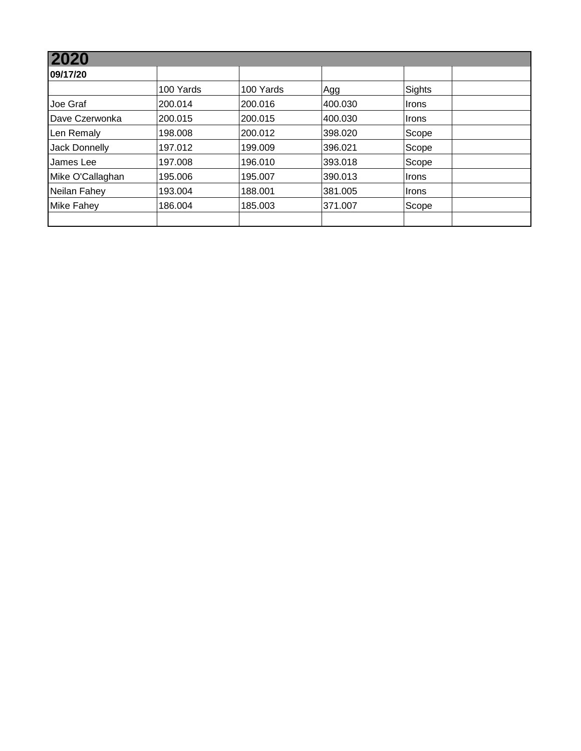| 2020                 |           |           |         |        |  |
|----------------------|-----------|-----------|---------|--------|--|
| 09/17/20             |           |           |         |        |  |
|                      | 100 Yards | 100 Yards | Agg     | Sights |  |
| Joe Graf             | 200.014   | 200.016   | 400.030 | Irons  |  |
| Dave Czerwonka       | 200.015   | 200.015   | 400.030 | ∣Irons |  |
| Len Remaly           | 198.008   | 200.012   | 398.020 | Scope  |  |
| <b>Jack Donnelly</b> | 197.012   | 199.009   | 396.021 | Scope  |  |
| James Lee            | 197.008   | 196.010   | 393.018 | Scope  |  |
| Mike O'Callaghan     | 195.006   | 195.007   | 390.013 | Irons  |  |
| Neilan Fahey         | 193.004   | 188.001   | 381.005 | ∣Irons |  |
| <b>Mike Fahey</b>    | 186.004   | 185.003   | 371.007 | Scope  |  |
|                      |           |           |         |        |  |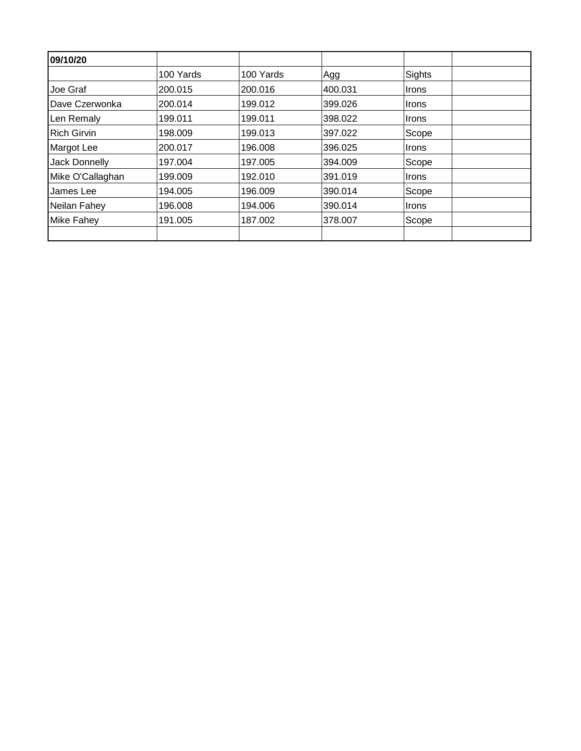| 09/10/20             |           |           |         |              |  |
|----------------------|-----------|-----------|---------|--------------|--|
|                      | 100 Yards | 100 Yards | Agg     | Sights       |  |
| Joe Graf             | 200.015   | 200.016   | 400.031 | <b>Irons</b> |  |
| Dave Czerwonka       | 200.014   | 199.012   | 399.026 | ∣Irons       |  |
| Len Remaly           | 199.011   | 199.011   | 398.022 | <b>Irons</b> |  |
| <b>Rich Girvin</b>   | 198.009   | 199.013   | 397.022 | Scope        |  |
| Margot Lee           | 200.017   | 196.008   | 396.025 | <b>Irons</b> |  |
| <b>Jack Donnelly</b> | 197.004   | 197.005   | 394.009 | Scope        |  |
| Mike O'Callaghan     | 199.009   | 192.010   | 391.019 | Irons        |  |
| James Lee            | 194.005   | 196.009   | 390.014 | Scope        |  |
| Neilan Fahey         | 196.008   | 194.006   | 390.014 | <b>Irons</b> |  |
| Mike Fahey           | 191.005   | 187.002   | 378,007 | Scope        |  |
|                      |           |           |         |              |  |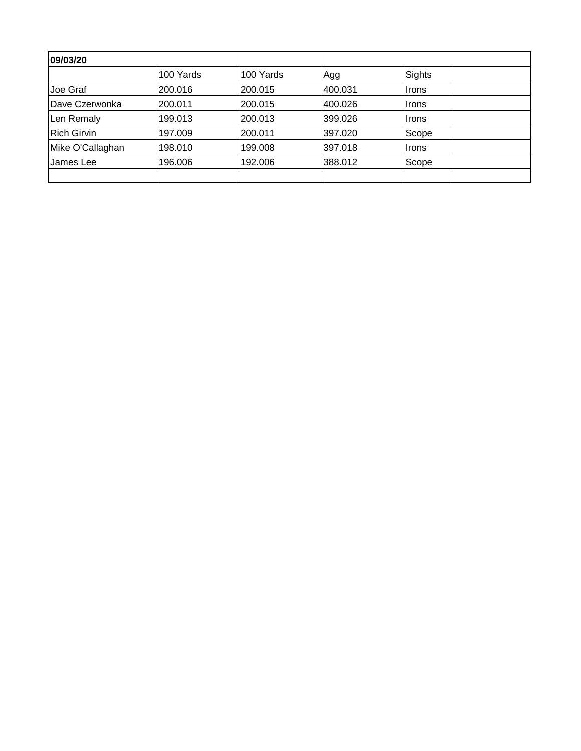| 09/03/20           |           |           |         |              |  |
|--------------------|-----------|-----------|---------|--------------|--|
|                    | 100 Yards | 100 Yards | Agg     | Sights       |  |
| Joe Graf           | 200.016   | 200.015   | 400.031 | Irons        |  |
| Dave Czerwonka     | 200.011   | 200.015   | 400.026 | <b>Irons</b> |  |
| Len Remaly         | 199.013   | 200.013   | 399.026 | Irons        |  |
| <b>Rich Girvin</b> | 197.009   | 200.011   | 397.020 | Scope        |  |
| Mike O'Callaghan   | 198.010   | 199.008   | 397.018 | ∣Irons       |  |
| James Lee          | 196.006   | 192.006   | 388.012 | Scope        |  |
|                    |           |           |         |              |  |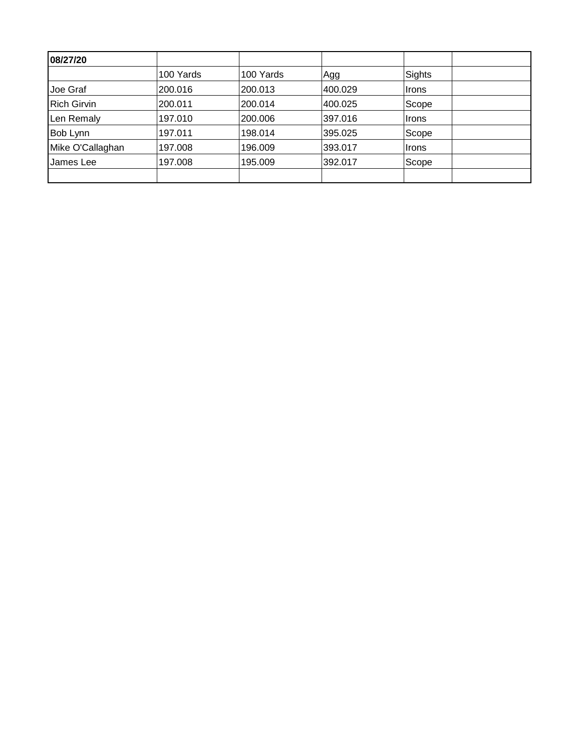| 08/27/20           |           |           |         |        |  |
|--------------------|-----------|-----------|---------|--------|--|
|                    | 100 Yards | 100 Yards | Agg     | Sights |  |
| Joe Graf           | 200.016   | 200.013   | 400.029 | Irons  |  |
| <b>Rich Girvin</b> | 200.011   | 200.014   | 400.025 | Scope  |  |
| Len Remaly         | 197.010   | 200.006   | 397.016 | Irons  |  |
| Bob Lynn           | 197.011   | 198.014   | 395.025 | Scope  |  |
| Mike O'Callaghan   | 197.008   | 196.009   | 393.017 | ∣Irons |  |
| James Lee          | 197.008   | 195.009   | 392.017 | Scope  |  |
|                    |           |           |         |        |  |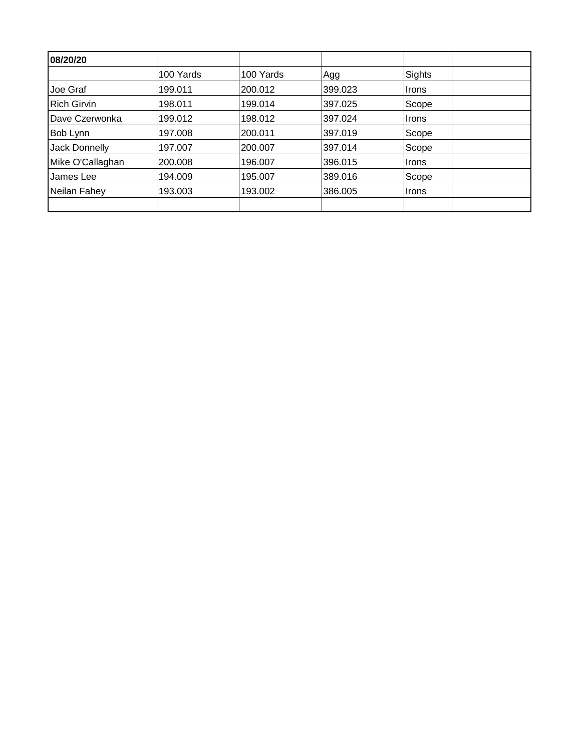| 08/20/20           |           |           |         |               |  |
|--------------------|-----------|-----------|---------|---------------|--|
|                    | 100 Yards | 100 Yards | Agg     | <b>Sights</b> |  |
| Joe Graf           | 199.011   | 200.012   | 399.023 | Irons         |  |
| <b>Rich Girvin</b> | 198.011   | 199.014   | 397.025 | Scope         |  |
| Dave Czerwonka     | 199.012   | 198.012   | 397.024 | ∣Irons        |  |
| Bob Lynn           | 197.008   | 200.011   | 397.019 | Scope         |  |
| Jack Donnelly      | 197.007   | 200.007   | 397.014 | Scope         |  |
| Mike O'Callaghan   | 200.008   | 196.007   | 396.015 | <b>Irons</b>  |  |
| James Lee          | 194.009   | 195.007   | 389.016 | Scope         |  |
| Neilan Fahey       | 193.003   | 193.002   | 386.005 | <b>Irons</b>  |  |
|                    |           |           |         |               |  |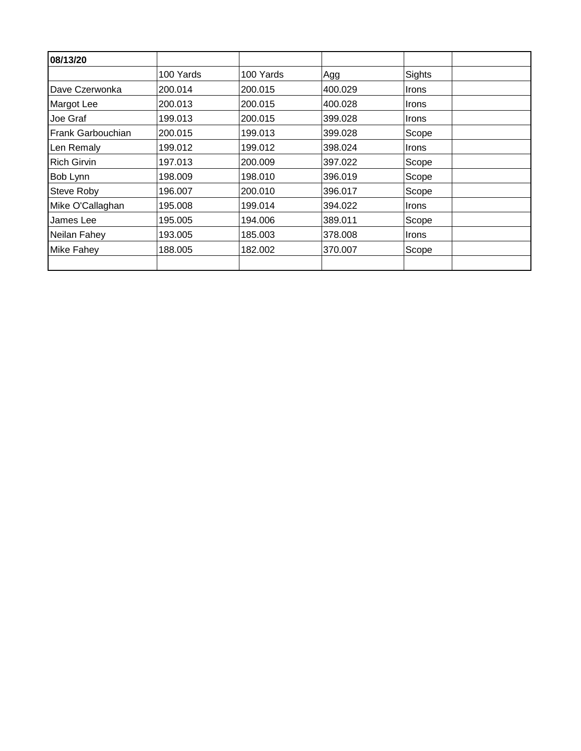| 08/13/20           |           |           |         |              |  |
|--------------------|-----------|-----------|---------|--------------|--|
|                    | 100 Yards | 100 Yards | Agg     | Sights       |  |
| Dave Czerwonka     | 200.014   | 200.015   | 400.029 | <b>Irons</b> |  |
| Margot Lee         | 200.013   | 200.015   | 400.028 | Irons        |  |
| Joe Graf           | 199.013   | 200.015   | 399.028 | Irons        |  |
| Frank Garbouchian  | 200.015   | 199.013   | 399.028 | Scope        |  |
| Len Remaly         | 199.012   | 199.012   | 398.024 | <b>Irons</b> |  |
| <b>Rich Girvin</b> | 197.013   | 200.009   | 397.022 | Scope        |  |
| Bob Lynn           | 198.009   | 198.010   | 396.019 | Scope        |  |
| Steve Roby         | 196.007   | 200.010   | 396.017 | Scope        |  |
| Mike O'Callaghan   | 195.008   | 199.014   | 394.022 | Irons        |  |
| James Lee          | 195.005   | 194.006   | 389.011 | Scope        |  |
| Neilan Fahey       | 193.005   | 185.003   | 378.008 | Irons        |  |
| <b>Mike Fahey</b>  | 188.005   | 182.002   | 370.007 | Scope        |  |
|                    |           |           |         |              |  |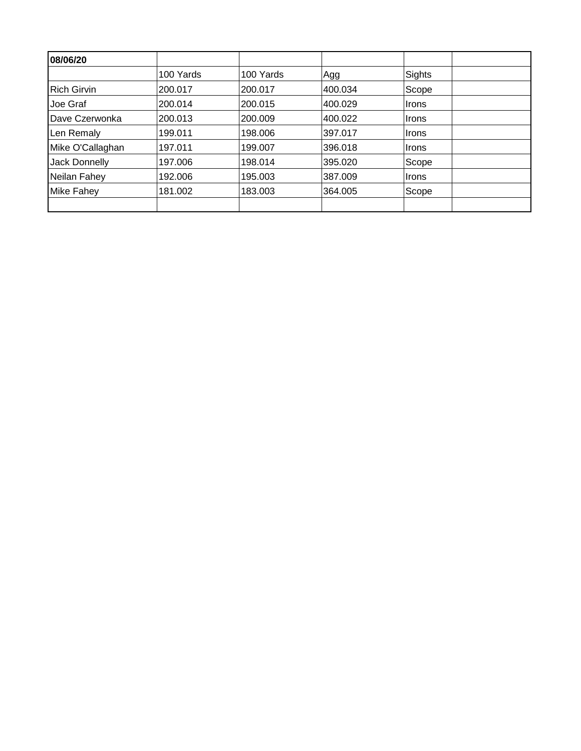| 08/06/20           |           |           |         |               |  |
|--------------------|-----------|-----------|---------|---------------|--|
|                    | 100 Yards | 100 Yards | Agg     | <b>Sights</b> |  |
| <b>Rich Girvin</b> | 200.017   | 200.017   | 400.034 | Scope         |  |
| Joe Graf           | 200.014   | 200.015   | 400.029 | <b>Irons</b>  |  |
| Dave Czerwonka     | 200.013   | 200.009   | 400.022 | <b>Irons</b>  |  |
| Len Remaly         | 199.011   | 198.006   | 397.017 | <b>Irons</b>  |  |
| Mike O'Callaghan   | 197.011   | 199.007   | 396.018 | <b>Irons</b>  |  |
| Jack Donnelly      | 197.006   | 198.014   | 395.020 | Scope         |  |
| Neilan Fahey       | 192.006   | 195.003   | 387.009 | <b>Irons</b>  |  |
| <b>Mike Fahey</b>  | 181.002   | 183.003   | 364.005 | Scope         |  |
|                    |           |           |         |               |  |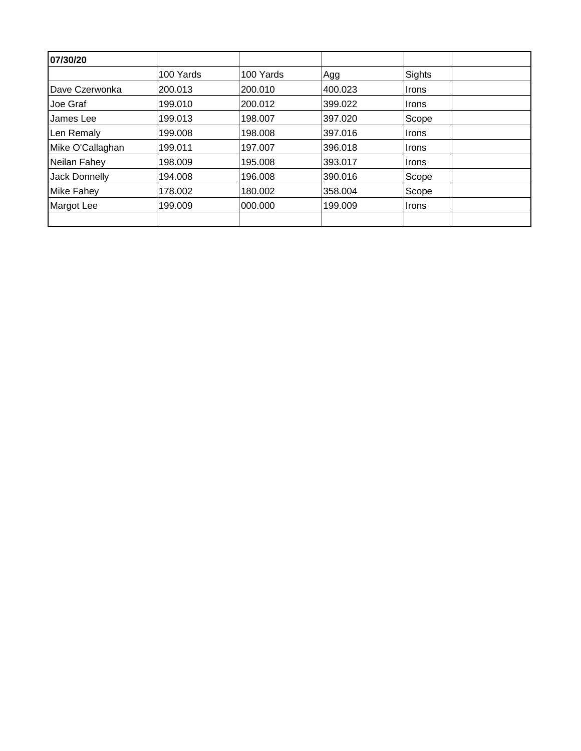| 07/30/20          |           |           |         |               |  |
|-------------------|-----------|-----------|---------|---------------|--|
|                   | 100 Yards | 100 Yards | Agg     | <b>Sights</b> |  |
| Dave Czerwonka    | 200.013   | 200.010   | 400.023 | ∣Irons        |  |
| Joe Graf          | 199.010   | 200.012   | 399.022 | ∣Irons        |  |
| James Lee         | 199.013   | 198.007   | 397.020 | Scope         |  |
| Len Remaly        | 199.008   | 198.008   | 397.016 | ∣Irons        |  |
| Mike O'Callaghan  | 199.011   | 197.007   | 396.018 | ∣Irons        |  |
| Neilan Fahey      | 198.009   | 195.008   | 393.017 | ∣Irons        |  |
| Jack Donnelly     | 194.008   | 196.008   | 390.016 | Scope         |  |
| <b>Mike Fahey</b> | 178.002   | 180.002   | 358.004 | Scope         |  |
| Margot Lee        | 199.009   | 000.000   | 199.009 | ∣Irons        |  |
|                   |           |           |         |               |  |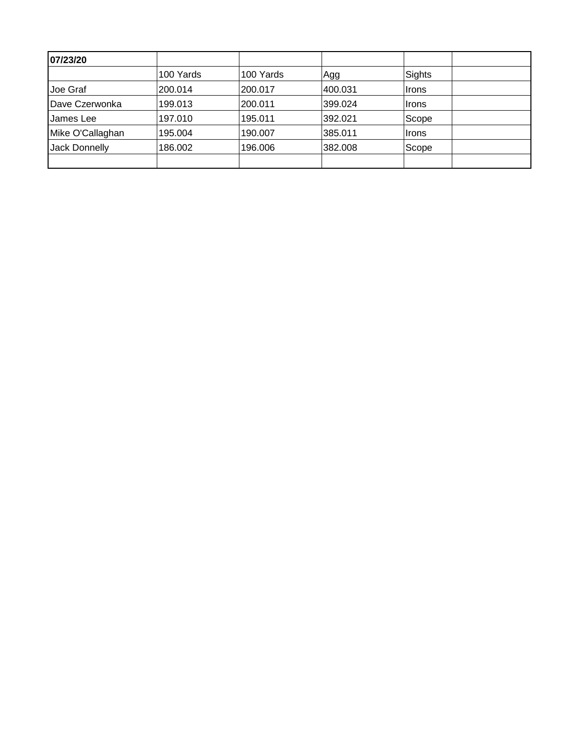| 07/23/20         |           |           |         |        |  |
|------------------|-----------|-----------|---------|--------|--|
|                  | 100 Yards | 100 Yards | Agg     | Sights |  |
| Joe Graf         | 200.014   | 200.017   | 400.031 | Irons  |  |
| Dave Czerwonka   | 199.013   | 200.011   | 399.024 | ∣Irons |  |
| James Lee        | 197.010   | 195.011   | 392.021 | Scope  |  |
| Mike O'Callaghan | 195.004   | 190.007   | 385.011 | Irons  |  |
| Jack Donnelly    | 186.002   | 196.006   | 382.008 | Scope  |  |
|                  |           |           |         |        |  |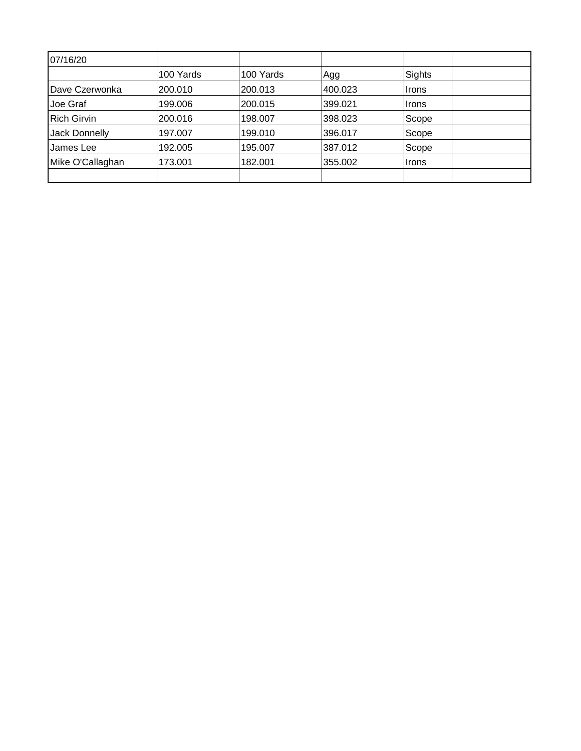| 07/16/20           |           |           |         |              |  |
|--------------------|-----------|-----------|---------|--------------|--|
|                    | 100 Yards | 100 Yards | Agg     | Sights       |  |
| Dave Czerwonka     | 200.010   | 200.013   | 400.023 | <b>Irons</b> |  |
| Joe Graf           | 199.006   | 200.015   | 399.021 | ∣Irons       |  |
| <b>Rich Girvin</b> | 200.016   | 198.007   | 398.023 | Scope        |  |
| Jack Donnelly      | 197.007   | 199.010   | 396.017 | Scope        |  |
| James Lee          | 192.005   | 195.007   | 387.012 | Scope        |  |
| Mike O'Callaghan   | 173.001   | 182.001   | 355.002 | ∣Irons       |  |
|                    |           |           |         |              |  |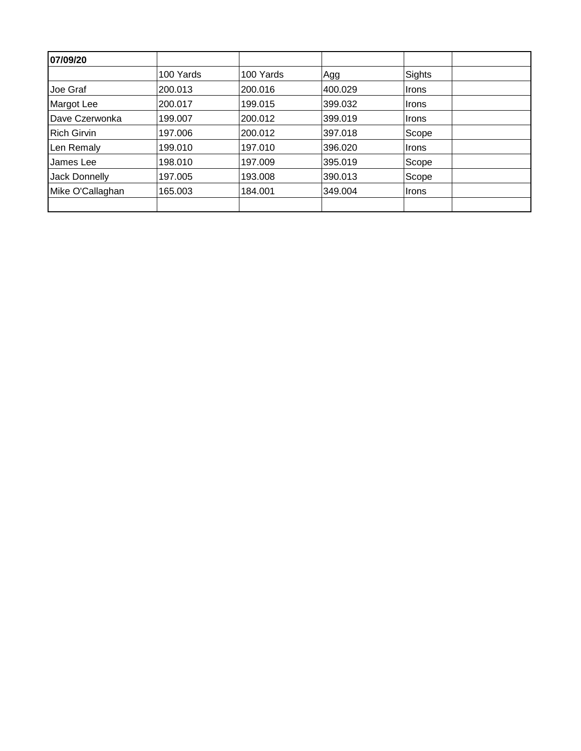| 07/09/20           |           |           |         |               |
|--------------------|-----------|-----------|---------|---------------|
|                    | 100 Yards | 100 Yards | Agg     | <b>Sights</b> |
| Joe Graf           | 200.013   | 200.016   | 400.029 | ∣Irons        |
| Margot Lee         | 200.017   | 199.015   | 399.032 | <b>Irons</b>  |
| Dave Czerwonka     | 199.007   | 200.012   | 399.019 | <b>Irons</b>  |
| <b>Rich Girvin</b> | 197.006   | 200.012   | 397.018 | Scope         |
| Len Remaly         | 199.010   | 197.010   | 396.020 | <b>Irons</b>  |
| James Lee          | 198.010   | 197.009   | 395.019 | Scope         |
| Jack Donnelly      | 197.005   | 193.008   | 390.013 | Scope         |
| Mike O'Callaghan   | 165.003   | 184.001   | 349.004 | <b>Irons</b>  |
|                    |           |           |         |               |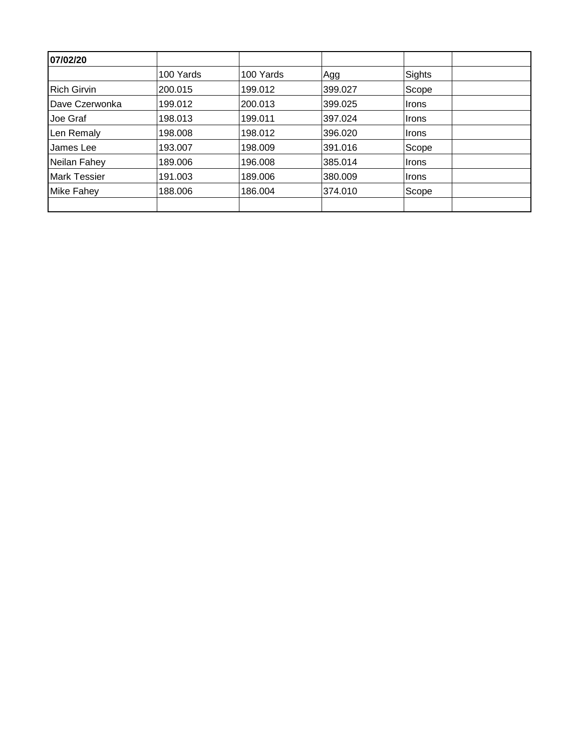| 07/02/20            |           |           |         |              |  |
|---------------------|-----------|-----------|---------|--------------|--|
|                     | 100 Yards | 100 Yards | Agg     | Sights       |  |
| <b>Rich Girvin</b>  | 200.015   | 199.012   | 399.027 | Scope        |  |
| Dave Czerwonka      | 199.012   | 200.013   | 399.025 | <b>Irons</b> |  |
| Joe Graf            | 198.013   | 199.011   | 397.024 | ∣Irons       |  |
| Len Remaly          | 198.008   | 198.012   | 396.020 | <b>Irons</b> |  |
| James Lee           | 193.007   | 198.009   | 391.016 | Scope        |  |
| Neilan Fahey        | 189.006   | 196.008   | 385.014 | ∣Irons       |  |
| <b>Mark Tessier</b> | 191.003   | 189.006   | 380.009 | <b>Irons</b> |  |
| <b>Mike Fahey</b>   | 188.006   | 186.004   | 374.010 | Scope        |  |
|                     |           |           |         |              |  |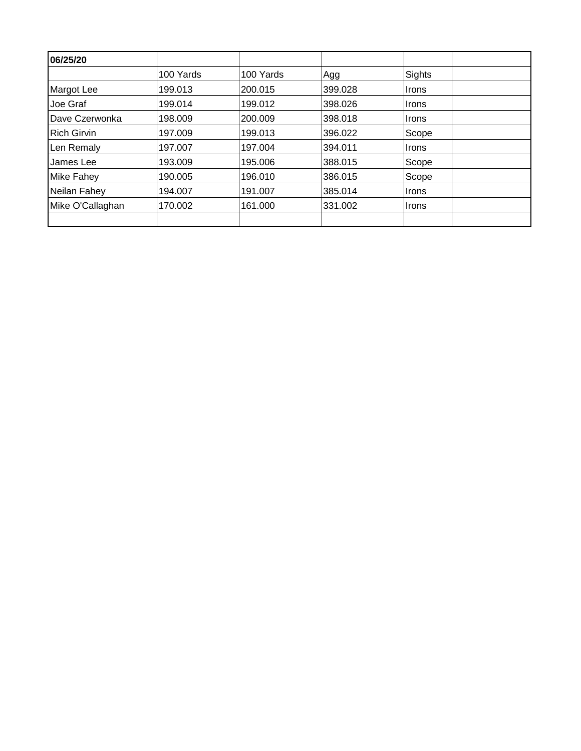| 06/25/20           |           |           |         |               |  |
|--------------------|-----------|-----------|---------|---------------|--|
|                    | 100 Yards | 100 Yards | Agg     | <b>Sights</b> |  |
| <b>Margot Lee</b>  | 199.013   | 200.015   | 399.028 | <b>Irons</b>  |  |
| Joe Graf           | 199.014   | 199.012   | 398.026 | <b>Irons</b>  |  |
| Dave Czerwonka     | 198.009   | 200.009   | 398.018 | <b>Irons</b>  |  |
| <b>Rich Girvin</b> | 197.009   | 199.013   | 396.022 | Scope         |  |
| Len Remaly         | 197.007   | 197.004   | 394.011 | <b>Irons</b>  |  |
| James Lee          | 193.009   | 195.006   | 388.015 | Scope         |  |
| <b>Mike Fahey</b>  | 190.005   | 196.010   | 386.015 | Scope         |  |
| Neilan Fahey       | 194.007   | 191.007   | 385.014 | Irons         |  |
| Mike O'Callaghan   | 170.002   | 161.000   | 331.002 | <b>Irons</b>  |  |
|                    |           |           |         |               |  |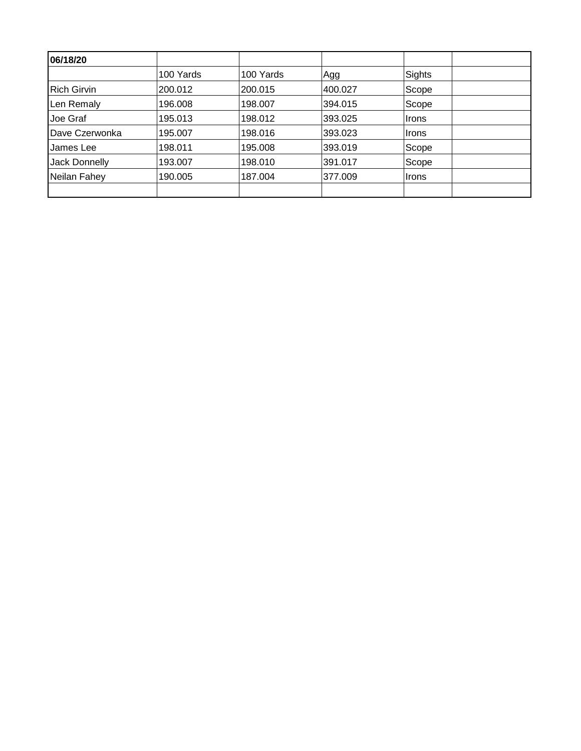| 06/18/20           |           |           |         |        |  |
|--------------------|-----------|-----------|---------|--------|--|
|                    | 100 Yards | 100 Yards | Agg     | Sights |  |
| <b>Rich Girvin</b> | 200.012   | 200.015   | 400.027 | Scope  |  |
| Len Remaly         | 196.008   | 198.007   | 394.015 | Scope  |  |
| Joe Graf           | 195.013   | 198.012   | 393.025 | Irons  |  |
| Dave Czerwonka     | 195.007   | 198.016   | 393.023 | ∣Irons |  |
| James Lee          | 198.011   | 195.008   | 393.019 | Scope  |  |
| Jack Donnelly      | 193.007   | 198.010   | 391.017 | Scope  |  |
| Neilan Fahey       | 190.005   | 187.004   | 377.009 | ∣Irons |  |
|                    |           |           |         |        |  |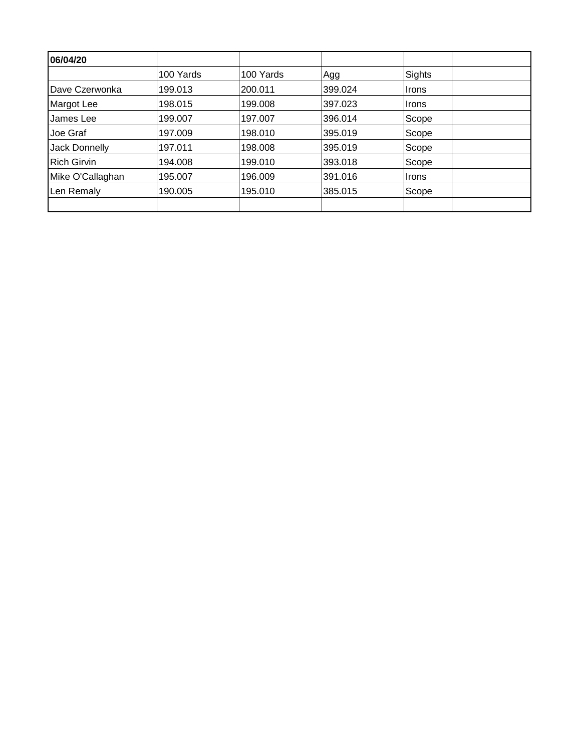| 06/04/20           |           |           |         |              |  |
|--------------------|-----------|-----------|---------|--------------|--|
|                    | 100 Yards | 100 Yards | Agg     | Sights       |  |
| Dave Czerwonka     | 199.013   | 200.011   | 399.024 | <b>Irons</b> |  |
| <b>Margot Lee</b>  | 198.015   | 199.008   | 397.023 | <b>Irons</b> |  |
| James Lee          | 199.007   | 197.007   | 396.014 | Scope        |  |
| Joe Graf           | 197.009   | 198.010   | 395.019 | Scope        |  |
| Jack Donnelly      | 197.011   | 198.008   | 395.019 | Scope        |  |
| <b>Rich Girvin</b> | 194.008   | 199.010   | 393.018 | Scope        |  |
| Mike O'Callaghan   | 195.007   | 196.009   | 391.016 | <b>Irons</b> |  |
| Len Remaly         | 190.005   | 195.010   | 385.015 | Scope        |  |
|                    |           |           |         |              |  |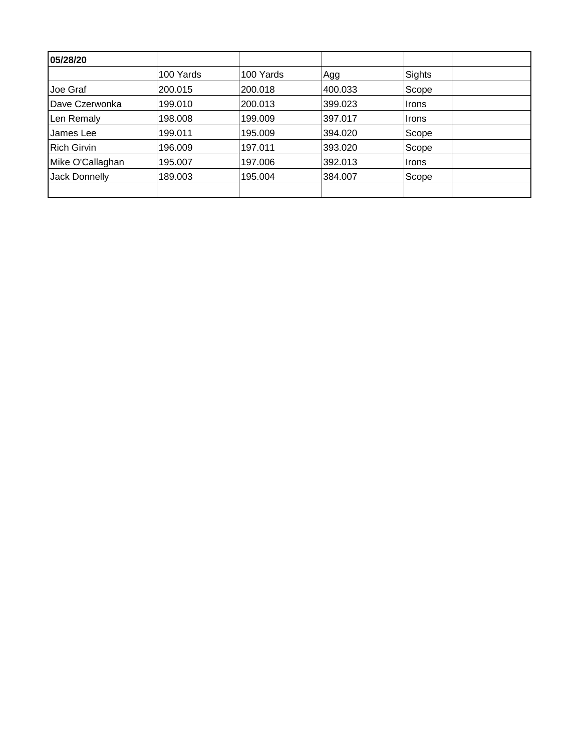| 05/28/20           |           |           |         |        |  |
|--------------------|-----------|-----------|---------|--------|--|
|                    | 100 Yards | 100 Yards | Agg     | Sights |  |
| Joe Graf           | 200.015   | 200.018   | 400.033 | Scope  |  |
| Dave Czerwonka     | 199.010   | 200.013   | 399.023 | Irons  |  |
| Len Remaly         | 198.008   | 199.009   | 397.017 | ∣Irons |  |
| James Lee          | 199.011   | 195.009   | 394.020 | Scope  |  |
| <b>Rich Girvin</b> | 196.009   | 197.011   | 393.020 | Scope  |  |
| Mike O'Callaghan   | 195.007   | 197.006   | 392.013 | ∣Irons |  |
| Jack Donnelly      | 189.003   | 195.004   | 384.007 | Scope  |  |
|                    |           |           |         |        |  |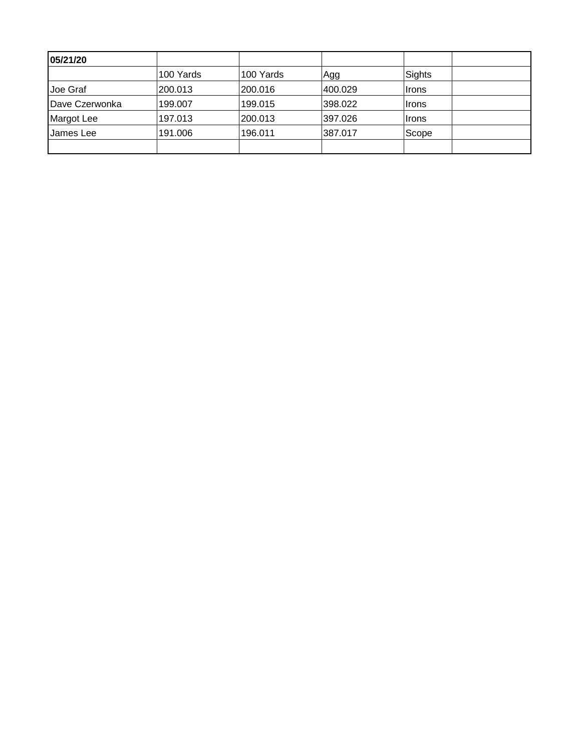| 05/21/20               |           |           |         |              |  |
|------------------------|-----------|-----------|---------|--------------|--|
|                        | 100 Yards | 100 Yards | Agg     | Sights       |  |
| Joe Graf               | 200.013   | 200.016   | 400.029 | ∣Irons       |  |
| <b>IDave Czerwonka</b> | 199.007   | 199.015   | 398.022 | <b>Irons</b> |  |
| Margot Lee             | 197.013   | 200.013   | 397.026 | <b>Irons</b> |  |
| James Lee              | 191.006   | 196.011   | 387.017 | Scope        |  |
|                        |           |           |         |              |  |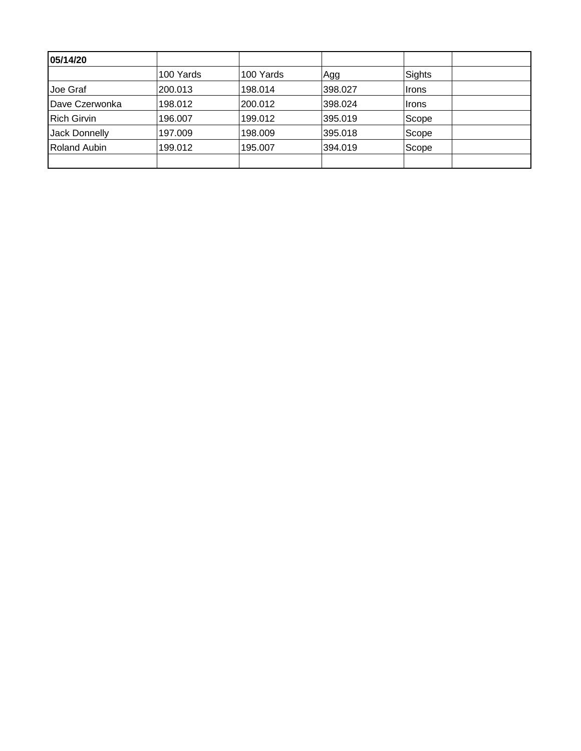| 05/14/20               |           |           |         |        |  |
|------------------------|-----------|-----------|---------|--------|--|
|                        | 100 Yards | 100 Yards | Agg     | Sights |  |
| Joe Graf               | 200.013   | 198.014   | 398.027 | ∣Irons |  |
| <b>IDave Czerwonka</b> | 198.012   | 200.012   | 398.024 | ∣Irons |  |
| <b>Rich Girvin</b>     | 196.007   | 199.012   | 395.019 | Scope  |  |
| Jack Donnelly          | 197.009   | 198.009   | 395.018 | Scope  |  |
| <b>Roland Aubin</b>    | 199.012   | 195.007   | 394.019 | Scope  |  |
|                        |           |           |         |        |  |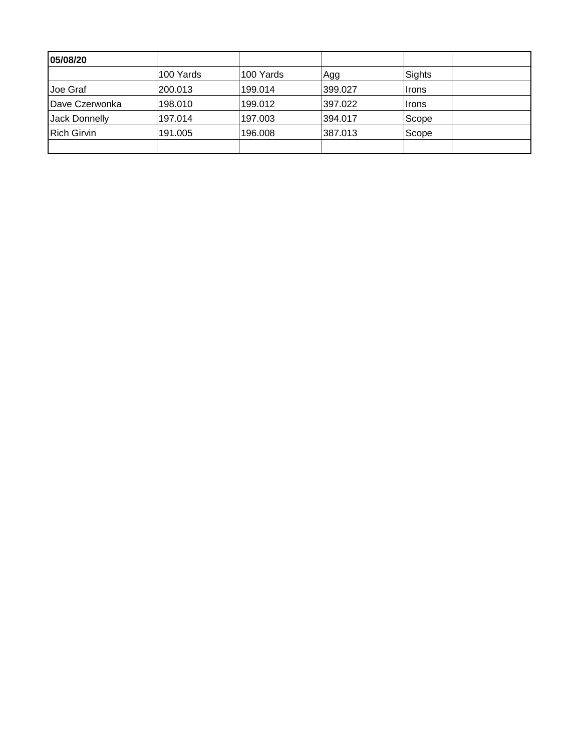| 05/08/20           |           |           |         |              |  |
|--------------------|-----------|-----------|---------|--------------|--|
|                    | 100 Yards | 100 Yards | Agg     | Sights       |  |
| Joe Graf           | 200.013   | 199.014   | 399.027 | ∣Irons       |  |
| Dave Czerwonka     | 198.010   | 199.012   | 397.022 | <b>Irons</b> |  |
| Jack Donnelly      | 197.014   | 197.003   | 394.017 | Scope        |  |
| <b>Rich Girvin</b> | 191.005   | 196.008   | 387.013 | Scope        |  |
|                    |           |           |         |              |  |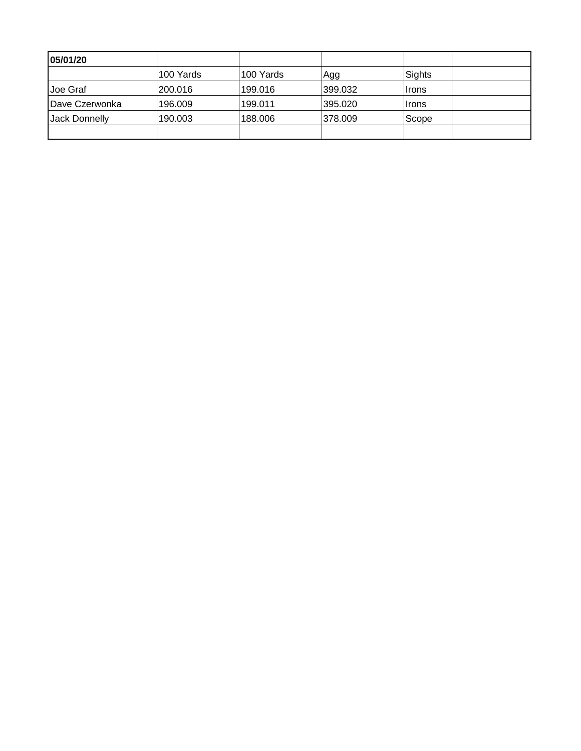| 05/01/20        |           |           |         |              |  |
|-----------------|-----------|-----------|---------|--------------|--|
|                 | 100 Yards | 100 Yards | Agg     | Sights       |  |
| IJoe Graf       | 200.016   | 199.016   | 399.032 | ∣Irons       |  |
| IDave Czerwonka | 196.009   | 199.011   | 395.020 | <b>Irons</b> |  |
| Jack Donnelly   | 190.003   | 188,006   | 378.009 | Scope        |  |
|                 |           |           |         |              |  |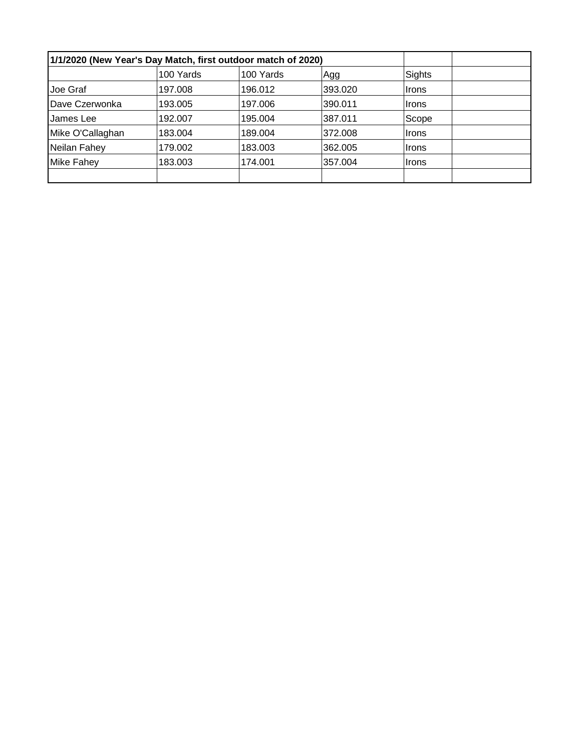| 1/1/2020 (New Year's Day Match, first outdoor match of 2020) |           |           |         |              |  |
|--------------------------------------------------------------|-----------|-----------|---------|--------------|--|
|                                                              | 100 Yards | 100 Yards | Agg     | Sights       |  |
| Joe Graf                                                     | 197.008   | 196.012   | 393.020 | Irons        |  |
| Dave Czerwonka                                               | 193.005   | 197.006   | 390.011 | ∣Irons       |  |
| James Lee                                                    | 192.007   | 195.004   | 387.011 | Scope        |  |
| Mike O'Callaghan                                             | 183.004   | 189.004   | 372.008 | ∣Irons       |  |
| Neilan Fahey                                                 | 179.002   | 183.003   | 362.005 | ∣Irons       |  |
| <b>Mike Fahey</b>                                            | 183.003   | 174.001   | 357.004 | <b>Irons</b> |  |
|                                                              |           |           |         |              |  |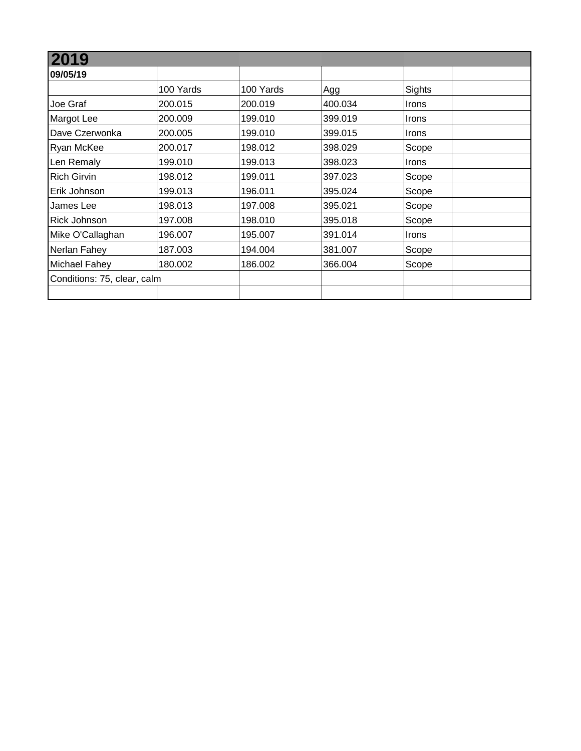| 2019                        |           |           |         |              |  |
|-----------------------------|-----------|-----------|---------|--------------|--|
| 09/05/19                    |           |           |         |              |  |
|                             | 100 Yards | 100 Yards | Agg     | Sights       |  |
| Joe Graf                    | 200.015   | 200.019   | 400.034 | <b>Irons</b> |  |
| Margot Lee                  | 200.009   | 199.010   | 399.019 | <b>Irons</b> |  |
| Dave Czerwonka              | 200.005   | 199.010   | 399.015 | Irons        |  |
| <b>Ryan McKee</b>           | 200.017   | 198.012   | 398.029 | Scope        |  |
| Len Remaly                  | 199.010   | 199.013   | 398.023 | Irons        |  |
| <b>Rich Girvin</b>          | 198.012   | 199.011   | 397.023 | Scope        |  |
| Erik Johnson                | 199.013   | 196.011   | 395.024 | Scope        |  |
| James Lee                   | 198.013   | 197.008   | 395.021 | Scope        |  |
| Rick Johnson                | 197.008   | 198.010   | 395.018 | Scope        |  |
| Mike O'Callaghan            | 196.007   | 195.007   | 391.014 | Irons        |  |
| Nerlan Fahey                | 187.003   | 194.004   | 381.007 | Scope        |  |
| Michael Fahey               | 180.002   | 186.002   | 366.004 | Scope        |  |
| Conditions: 75, clear, calm |           |           |         |              |  |
|                             |           |           |         |              |  |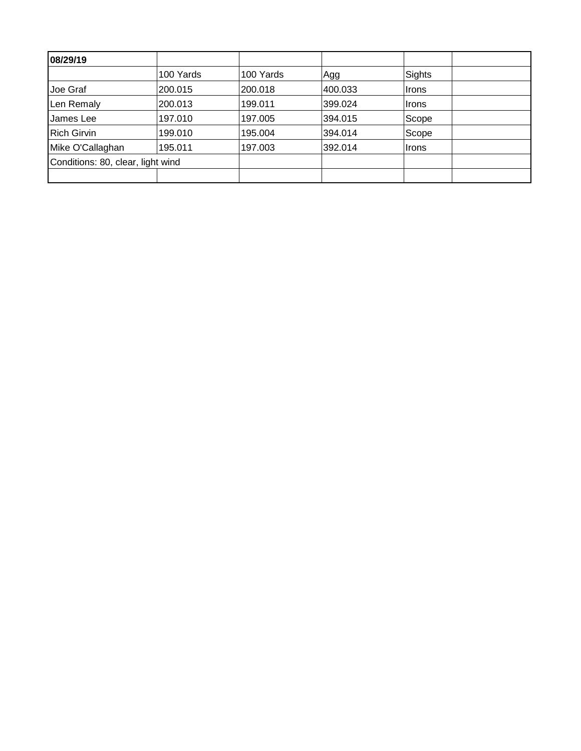| 08/29/19                          |           |           |         |        |
|-----------------------------------|-----------|-----------|---------|--------|
|                                   | 100 Yards | 100 Yards | Agg     | Sights |
| Joe Graf                          | 200.015   | 200.018   | 400.033 | Irons  |
| Len Remaly                        | 200.013   | 199.011   | 399.024 | ∣Irons |
| James Lee                         | 197.010   | 197.005   | 394.015 | Scope  |
| <b>Rich Girvin</b>                | 199.010   | 195.004   | 394.014 | Scope  |
| Mike O'Callaghan                  | 195.011   | 197.003   | 392.014 | ∣Irons |
| Conditions: 80, clear, light wind |           |           |         |        |
|                                   |           |           |         |        |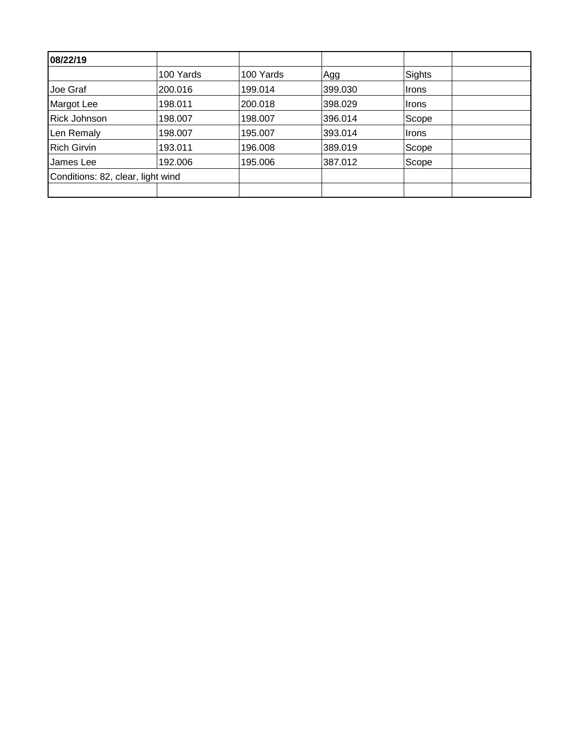| 08/22/19                          |           |           |         |        |  |
|-----------------------------------|-----------|-----------|---------|--------|--|
|                                   | 100 Yards | 100 Yards | Agg     | Sights |  |
| Joe Graf                          | 200.016   | 199.014   | 399.030 | ∣Irons |  |
| Margot Lee                        | 198.011   | 200.018   | 398.029 | ∣Irons |  |
| <b>Rick Johnson</b>               | 198.007   | 198.007   | 396.014 | Scope  |  |
| Len Remaly                        | 198.007   | 195.007   | 393.014 | ∣Irons |  |
| <b>Rich Girvin</b>                | 193.011   | 196.008   | 389.019 | Scope  |  |
| James Lee                         | 192.006   | 195.006   | 387.012 | Scope  |  |
| Conditions: 82, clear, light wind |           |           |         |        |  |
|                                   |           |           |         |        |  |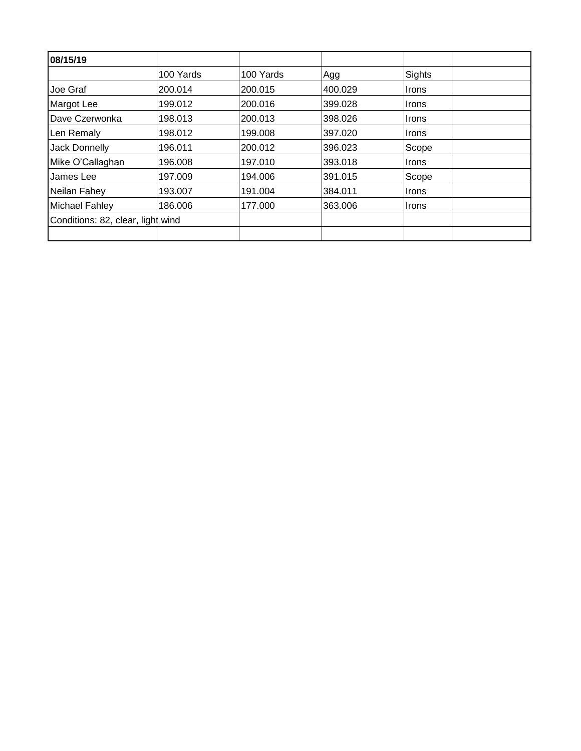| 08/15/19                          |           |           |         |              |  |
|-----------------------------------|-----------|-----------|---------|--------------|--|
|                                   | 100 Yards | 100 Yards | Agg     | Sights       |  |
| Joe Graf                          | 200.014   | 200.015   | 400.029 | Irons        |  |
| Margot Lee                        | 199.012   | 200.016   | 399.028 | ∣Irons       |  |
| Dave Czerwonka                    | 198.013   | 200.013   | 398.026 | <b>Irons</b> |  |
| Len Remaly                        | 198.012   | 199.008   | 397.020 | ∣Irons       |  |
| Jack Donnelly                     | 196.011   | 200.012   | 396.023 | Scope        |  |
| Mike O'Callaghan                  | 196,008   | 197.010   | 393.018 | ∣Irons       |  |
| James Lee                         | 197.009   | 194.006   | 391.015 | Scope        |  |
| Neilan Fahey                      | 193.007   | 191.004   | 384.011 | ∣Irons       |  |
| Michael Fahley                    | 186.006   | 177.000   | 363.006 | Irons        |  |
| Conditions: 82, clear, light wind |           |           |         |              |  |
|                                   |           |           |         |              |  |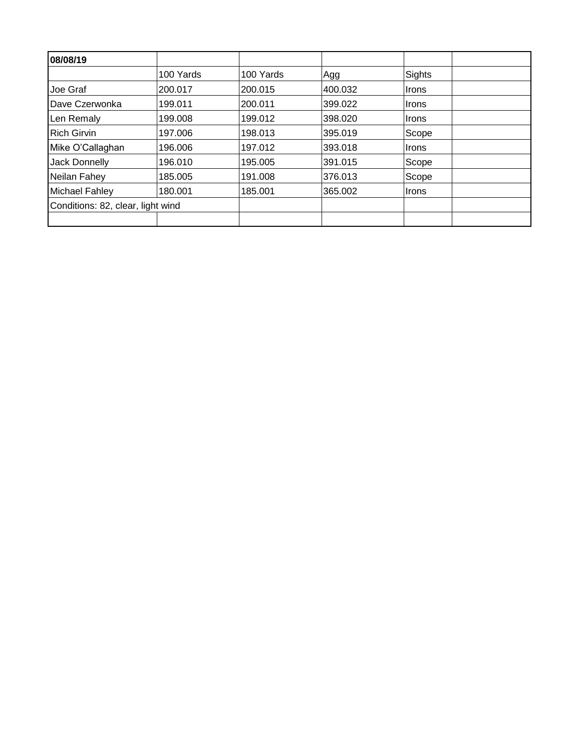| 08/08/19                          |           |           |         |        |  |
|-----------------------------------|-----------|-----------|---------|--------|--|
|                                   | 100 Yards | 100 Yards | Agg     | Sights |  |
| Joe Graf                          | 200.017   | 200.015   | 400.032 | Irons  |  |
| Dave Czerwonka                    | 199.011   | 200.011   | 399.022 | Irons  |  |
| Len Remaly                        | 199.008   | 199.012   | 398.020 | ∣Irons |  |
| <b>Rich Girvin</b>                | 197.006   | 198.013   | 395.019 | Scope  |  |
| Mike O'Callaghan                  | 196.006   | 197.012   | 393.018 | Irons  |  |
| <b>Jack Donnelly</b>              | 196.010   | 195.005   | 391.015 | Scope  |  |
| Neilan Fahey                      | 185.005   | 191.008   | 376.013 | Scope  |  |
| Michael Fahley                    | 180.001   | 185.001   | 365.002 | ∣Irons |  |
| Conditions: 82, clear, light wind |           |           |         |        |  |
|                                   |           |           |         |        |  |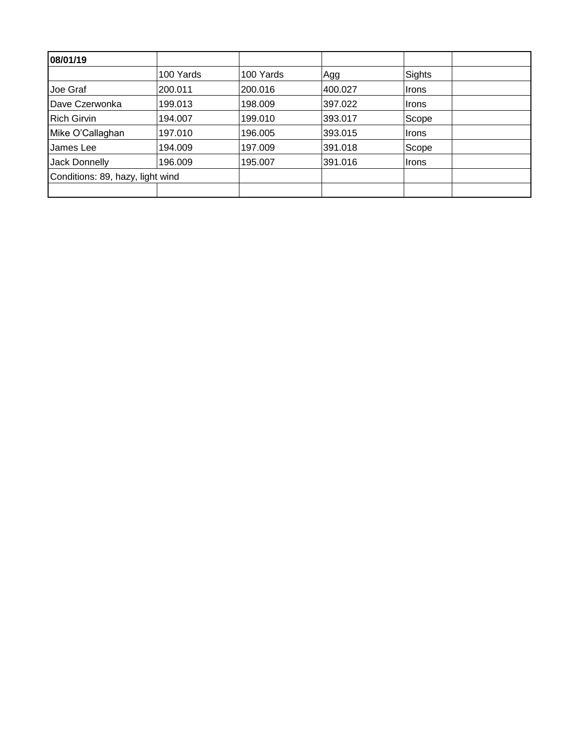| 08/01/19                         |           |           |         |        |  |
|----------------------------------|-----------|-----------|---------|--------|--|
|                                  | 100 Yards | 100 Yards | Agg     | Sights |  |
| Joe Graf                         | 200.011   | 200.016   | 400.027 | ∣Irons |  |
| Dave Czerwonka                   | 199.013   | 198.009   | 397.022 | Irons  |  |
| <b>Rich Girvin</b>               | 194.007   | 199.010   | 393.017 | Scope  |  |
| Mike O'Callaghan                 | 197.010   | 196.005   | 393.015 | ∣Irons |  |
| James Lee                        | 194.009   | 197.009   | 391.018 | Scope  |  |
| Jack Donnelly                    | 196.009   | 195.007   | 391.016 | ∣Irons |  |
| Conditions: 89, hazy, light wind |           |           |         |        |  |
|                                  |           |           |         |        |  |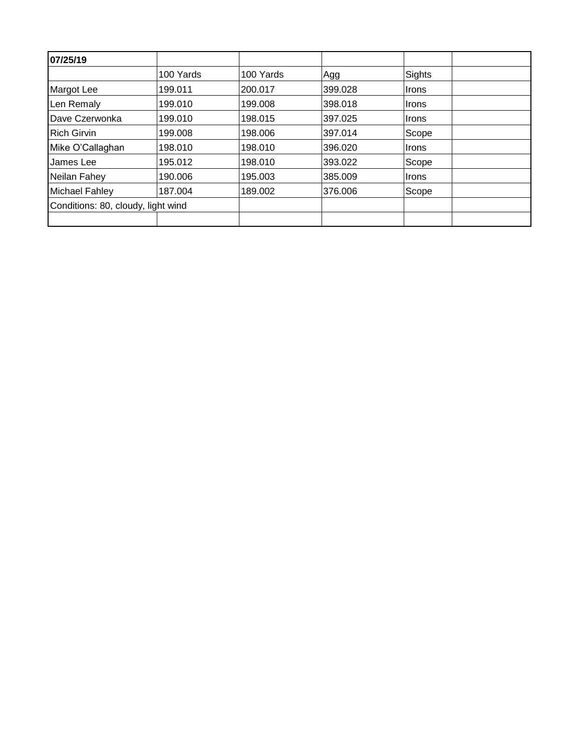| 07/25/19                           |           |           |         |              |  |
|------------------------------------|-----------|-----------|---------|--------------|--|
|                                    | 100 Yards | 100 Yards | Agg     | Sights       |  |
| Margot Lee                         | 199.011   | 200.017   | 399.028 | <b>Irons</b> |  |
| Len Remaly                         | 199.010   | 199.008   | 398.018 | <b>Irons</b> |  |
| Dave Czerwonka                     | 199.010   | 198.015   | 397.025 | <b>Irons</b> |  |
| <b>Rich Girvin</b>                 | 199.008   | 198.006   | 397.014 | Scope        |  |
| Mike O'Callaghan                   | 198.010   | 198.010   | 396.020 | <b>Irons</b> |  |
| James Lee                          | 195.012   | 198.010   | 393.022 | Scope        |  |
| Neilan Fahey                       | 190.006   | 195.003   | 385,009 | <b>Irons</b> |  |
| <b>Michael Fahley</b>              | 187.004   | 189.002   | 376,006 | Scope        |  |
| Conditions: 80, cloudy, light wind |           |           |         |              |  |
|                                    |           |           |         |              |  |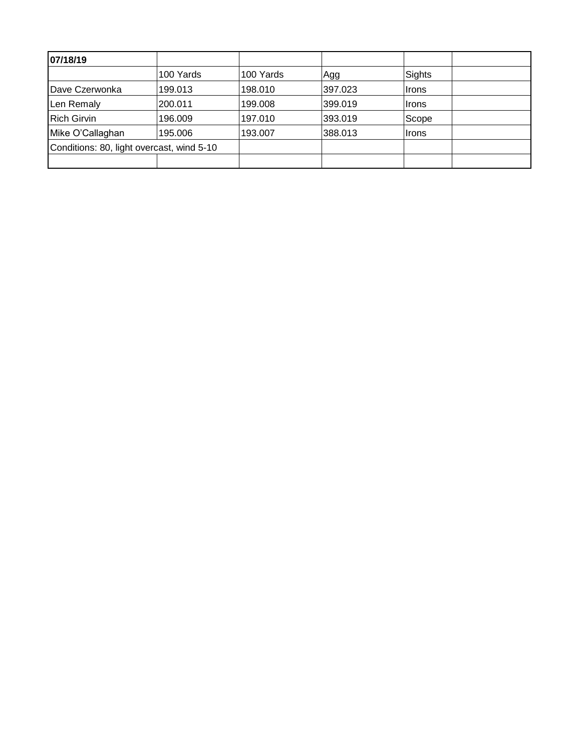| 07/18/19                                  |           |           |         |              |  |
|-------------------------------------------|-----------|-----------|---------|--------------|--|
|                                           | 100 Yards | 100 Yards | Agg     | Sights       |  |
| Dave Czerwonka                            | 199.013   | 198.010   | 397.023 | Irons        |  |
| Len Remaly                                | 200.011   | 199.008   | 399.019 | <b>Irons</b> |  |
| <b>Rich Girvin</b>                        | 196.009   | 197.010   | 393.019 | Scope        |  |
| Mike O'Callaghan                          | 195,006   | 193.007   | 388.013 | <b>Irons</b> |  |
| Conditions: 80, light overcast, wind 5-10 |           |           |         |              |  |
|                                           |           |           |         |              |  |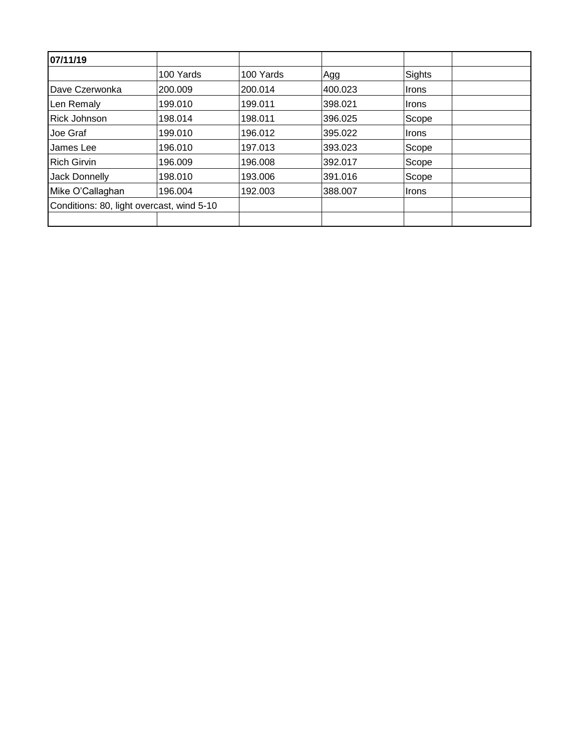| 07/11/19                                  |           |           |         |        |  |
|-------------------------------------------|-----------|-----------|---------|--------|--|
|                                           | 100 Yards | 100 Yards | Agg     | Sights |  |
| Dave Czerwonka                            | 200.009   | 200.014   | 400.023 | ∣Irons |  |
| Len Remaly                                | 199.010   | 199.011   | 398.021 | ∣Irons |  |
| <b>Rick Johnson</b>                       | 198.014   | 198.011   | 396.025 | Scope  |  |
| Joe Graf                                  | 199.010   | 196.012   | 395.022 | ∣Irons |  |
| James Lee                                 | 196.010   | 197.013   | 393.023 | Scope  |  |
| <b>Rich Girvin</b>                        | 196.009   | 196.008   | 392.017 | Scope  |  |
| Jack Donnelly                             | 198.010   | 193.006   | 391.016 | Scope  |  |
| Mike O'Callaghan                          | 196.004   | 192.003   | 388,007 | ∣Irons |  |
| Conditions: 80, light overcast, wind 5-10 |           |           |         |        |  |
|                                           |           |           |         |        |  |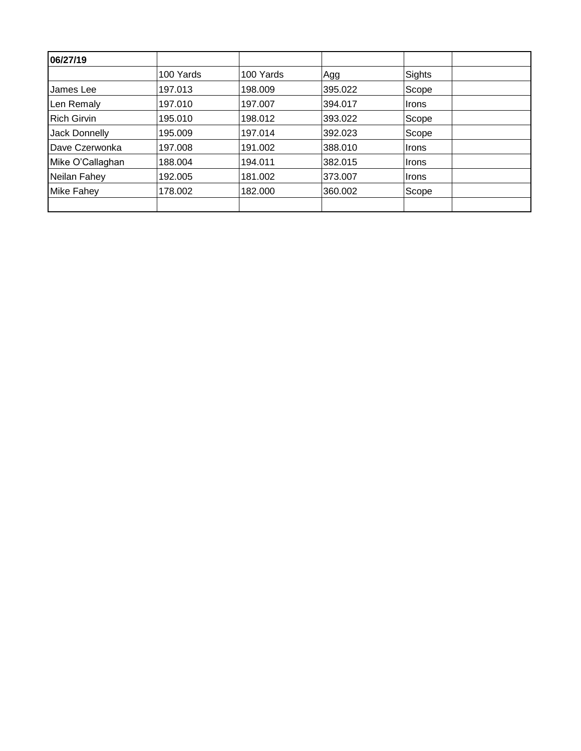| 06/27/19           |           |           |         |              |  |
|--------------------|-----------|-----------|---------|--------------|--|
|                    | 100 Yards | 100 Yards | Agg     | Sights       |  |
| James Lee          | 197.013   | 198.009   | 395.022 | Scope        |  |
| Len Remaly         | 197.010   | 197.007   | 394.017 | <b>Irons</b> |  |
| <b>Rich Girvin</b> | 195.010   | 198.012   | 393.022 | Scope        |  |
| Jack Donnelly      | 195.009   | 197.014   | 392.023 | Scope        |  |
| Dave Czerwonka     | 197.008   | 191.002   | 388.010 | Irons        |  |
| Mike O'Callaghan   | 188.004   | 194.011   | 382.015 | ∣Irons       |  |
| Neilan Fahey       | 192.005   | 181.002   | 373.007 | Irons        |  |
| <b>Mike Fahey</b>  | 178.002   | 182.000   | 360.002 | Scope        |  |
|                    |           |           |         |              |  |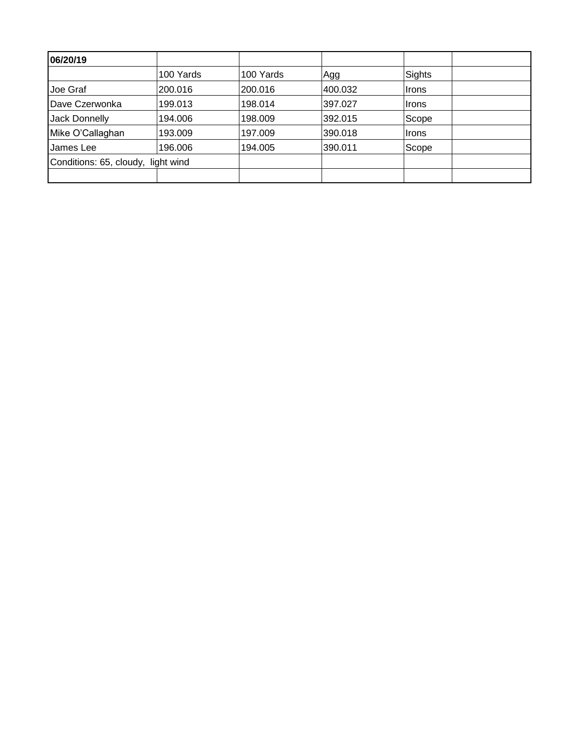| 06/20/19                           |           |           |         |        |  |
|------------------------------------|-----------|-----------|---------|--------|--|
|                                    | 100 Yards | 100 Yards | Agg     | Sights |  |
| Joe Graf                           | 200.016   | 200.016   | 400.032 | ∣Irons |  |
| Dave Czerwonka                     | 199.013   | 198.014   | 397.027 | ∣Irons |  |
| Jack Donnelly                      | 194.006   | 198.009   | 392.015 | Scope  |  |
| Mike O'Callaghan                   | 193.009   | 197.009   | 390.018 | Irons  |  |
| James Lee                          | 196.006   | 194.005   | 390.011 | Scope  |  |
| Conditions: 65, cloudy, light wind |           |           |         |        |  |
|                                    |           |           |         |        |  |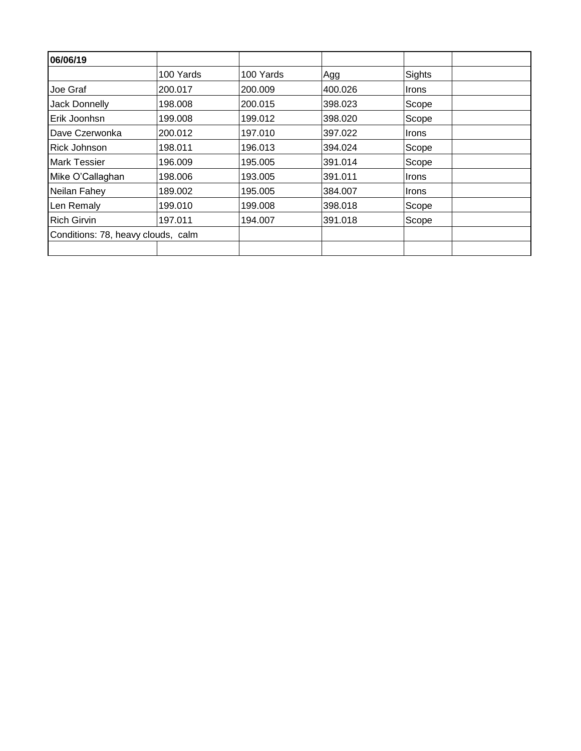| 06/06/19                           |           |           |         |              |  |
|------------------------------------|-----------|-----------|---------|--------------|--|
|                                    | 100 Yards | 100 Yards | Agg     | Sights       |  |
| Joe Graf                           | 200.017   | 200.009   | 400.026 | <b>Irons</b> |  |
| Jack Donnelly                      | 198.008   | 200.015   | 398.023 | Scope        |  |
| Erik Joonhsn                       | 199.008   | 199.012   | 398.020 | Scope        |  |
| Dave Czerwonka                     | 200.012   | 197.010   | 397.022 | Irons        |  |
| Rick Johnson                       | 198.011   | 196.013   | 394.024 | Scope        |  |
| <b>Mark Tessier</b>                | 196.009   | 195.005   | 391.014 | Scope        |  |
| Mike O'Callaghan                   | 198.006   | 193.005   | 391.011 | <b>Irons</b> |  |
| Neilan Fahey                       | 189.002   | 195.005   | 384.007 | Irons        |  |
| Len Remaly                         | 199.010   | 199.008   | 398.018 | Scope        |  |
| <b>Rich Girvin</b>                 | 197.011   | 194.007   | 391.018 | Scope        |  |
| Conditions: 78, heavy clouds, calm |           |           |         |              |  |
|                                    |           |           |         |              |  |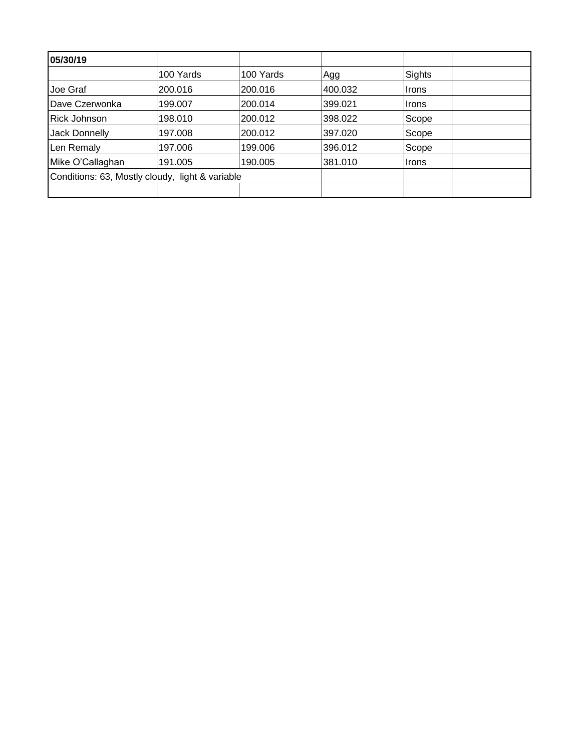| 05/30/19                                        |           |           |         |        |  |
|-------------------------------------------------|-----------|-----------|---------|--------|--|
|                                                 | 100 Yards | 100 Yards | Agg     | Sights |  |
| Joe Graf                                        | 200.016   | 200.016   | 400.032 | Irons  |  |
| Dave Czerwonka                                  | 199.007   | 200.014   | 399.021 | ∣Irons |  |
| <b>Rick Johnson</b>                             | 198.010   | 200.012   | 398.022 | Scope  |  |
| Jack Donnelly                                   | 197.008   | 200.012   | 397.020 | Scope  |  |
| Len Remaly                                      | 197.006   | 199.006   | 396.012 | Scope  |  |
| Mike O'Callaghan                                | 191.005   | 190.005   | 381.010 | ∣Irons |  |
| Conditions: 63, Mostly cloudy, light & variable |           |           |         |        |  |
|                                                 |           |           |         |        |  |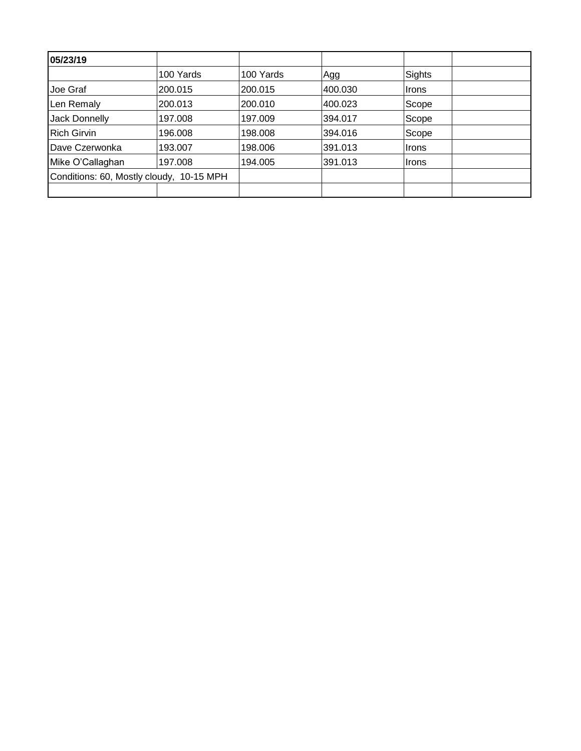| 05/23/19                                 |           |           |         |              |  |
|------------------------------------------|-----------|-----------|---------|--------------|--|
|                                          | 100 Yards | 100 Yards | Agg     | Sights       |  |
| Joe Graf                                 | 200.015   | 200.015   | 400.030 | ∣Irons       |  |
| Len Remaly                               | 200.013   | 200.010   | 400.023 | Scope        |  |
| Jack Donnelly                            | 197.008   | 197.009   | 394.017 | Scope        |  |
| <b>Rich Girvin</b>                       | 196.008   | 198,008   | 394.016 | Scope        |  |
| Dave Czerwonka                           | 193.007   | 198.006   | 391.013 | <b>Irons</b> |  |
| Mike O'Callaghan                         | 197.008   | 194.005   | 391.013 | <b>Irons</b> |  |
| Conditions: 60, Mostly cloudy, 10-15 MPH |           |           |         |              |  |
|                                          |           |           |         |              |  |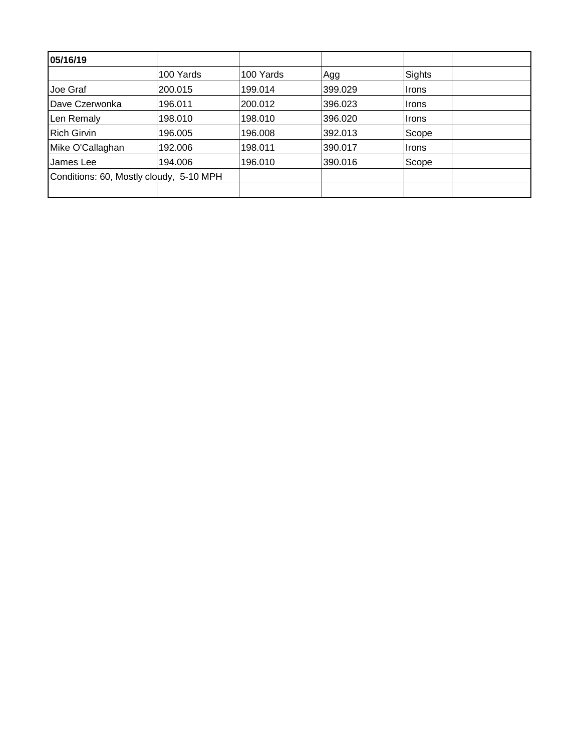| 05/16/19                                |           |           |         |              |  |
|-----------------------------------------|-----------|-----------|---------|--------------|--|
|                                         | 100 Yards | 100 Yards | Agg     | Sights       |  |
| Joe Graf                                | 200.015   | 199.014   | 399.029 | ∣Irons       |  |
| Dave Czerwonka                          | 196.011   | 200.012   | 396.023 | ∣Irons       |  |
| Len Remaly                              | 198.010   | 198.010   | 396.020 | <b>Irons</b> |  |
| <b>Rich Girvin</b>                      | 196.005   | 196.008   | 392.013 | Scope        |  |
| Mike O'Callaghan                        | 192.006   | 198.011   | 390.017 | ∣Irons       |  |
| James Lee                               | 194.006   | 196.010   | 390.016 | Scope        |  |
| Conditions: 60, Mostly cloudy, 5-10 MPH |           |           |         |              |  |
|                                         |           |           |         |              |  |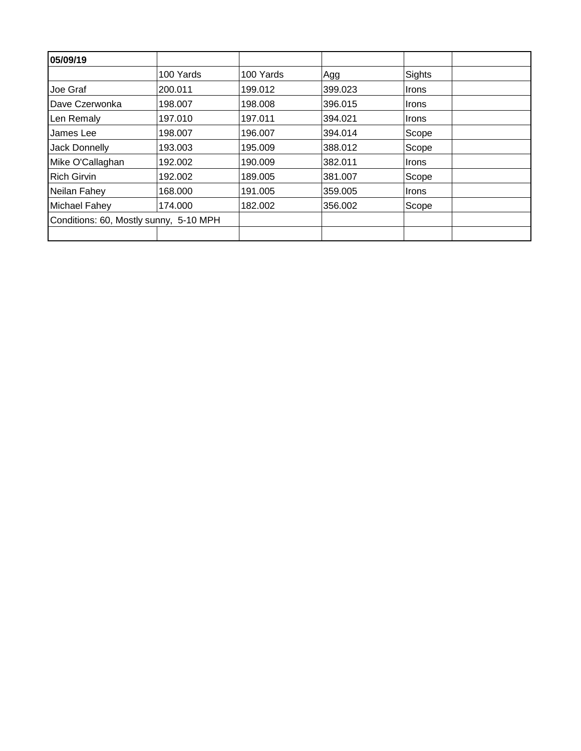| 05/09/19                               |           |           |         |              |  |
|----------------------------------------|-----------|-----------|---------|--------------|--|
|                                        | 100 Yards | 100 Yards | Agg     | Sights       |  |
| Joe Graf                               | 200.011   | 199.012   | 399.023 | <b>Irons</b> |  |
| Dave Czerwonka                         | 198.007   | 198.008   | 396.015 | <b>Irons</b> |  |
| Len Remaly                             | 197.010   | 197.011   | 394.021 | <b>Irons</b> |  |
| James Lee                              | 198.007   | 196.007   | 394.014 | Scope        |  |
| Jack Donnelly                          | 193.003   | 195.009   | 388.012 | Scope        |  |
| Mike O'Callaghan                       | 192.002   | 190.009   | 382.011 | Irons        |  |
| <b>Rich Girvin</b>                     | 192.002   | 189.005   | 381.007 | Scope        |  |
| Neilan Fahey                           | 168.000   | 191.005   | 359.005 | <b>Irons</b> |  |
| Michael Fahey                          | 174.000   | 182.002   | 356.002 | Scope        |  |
| Conditions: 60, Mostly sunny, 5-10 MPH |           |           |         |              |  |
|                                        |           |           |         |              |  |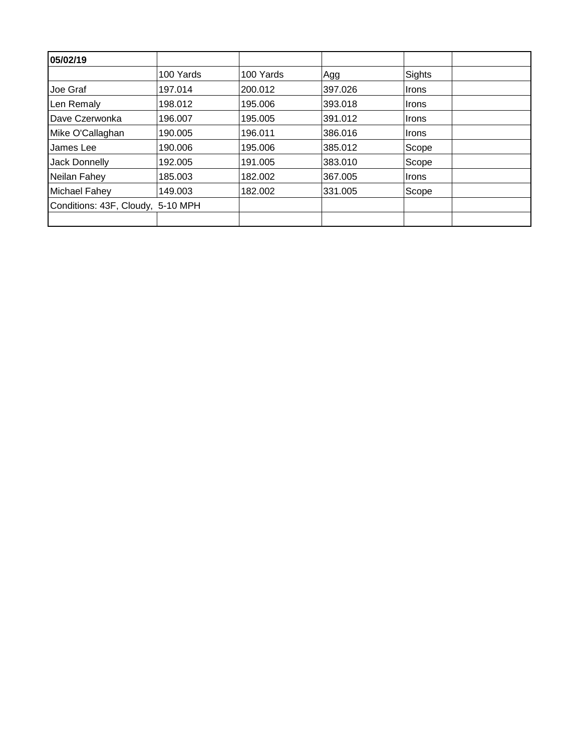| 05/02/19                          |           |           |         |        |  |
|-----------------------------------|-----------|-----------|---------|--------|--|
|                                   | 100 Yards | 100 Yards | Agg     | Sights |  |
| Joe Graf                          | 197.014   | 200.012   | 397.026 | Irons  |  |
| Len Remaly                        | 198.012   | 195.006   | 393.018 | Irons  |  |
| Dave Czerwonka                    | 196.007   | 195.005   | 391.012 | ∣Irons |  |
| Mike O'Callaghan                  | 190.005   | 196.011   | 386.016 | ∣Irons |  |
| James Lee                         | 190.006   | 195.006   | 385.012 | Scope  |  |
| <b>Jack Donnelly</b>              | 192.005   | 191.005   | 383.010 | Scope  |  |
| Neilan Fahey                      | 185.003   | 182.002   | 367.005 | Irons  |  |
| Michael Fahey                     | 149.003   | 182.002   | 331.005 | Scope  |  |
| Conditions: 43F, Cloudy, 5-10 MPH |           |           |         |        |  |
|                                   |           |           |         |        |  |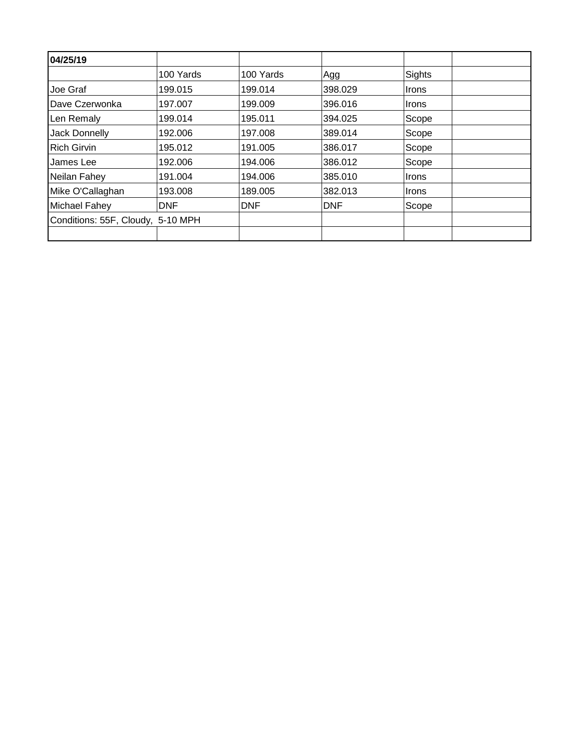| 04/25/19                          |            |            |            |              |  |
|-----------------------------------|------------|------------|------------|--------------|--|
|                                   | 100 Yards  | 100 Yards  | Agg        | Sights       |  |
| Joe Graf                          | 199.015    | 199.014    | 398.029    | <b>Irons</b> |  |
| Dave Czerwonka                    | 197.007    | 199.009    | 396.016    | Irons        |  |
| Len Remaly                        | 199.014    | 195.011    | 394.025    | Scope        |  |
| Jack Donnelly                     | 192.006    | 197.008    | 389.014    | Scope        |  |
| <b>Rich Girvin</b>                | 195.012    | 191.005    | 386.017    | Scope        |  |
| James Lee                         | 192.006    | 194.006    | 386.012    | Scope        |  |
| Neilan Fahey                      | 191.004    | 194.006    | 385.010    | Irons        |  |
| Mike O'Callaghan                  | 193.008    | 189.005    | 382.013    | <b>Irons</b> |  |
| Michael Fahey                     | <b>DNF</b> | <b>DNF</b> | <b>DNF</b> | Scope        |  |
| Conditions: 55F, Cloudy, 5-10 MPH |            |            |            |              |  |
|                                   |            |            |            |              |  |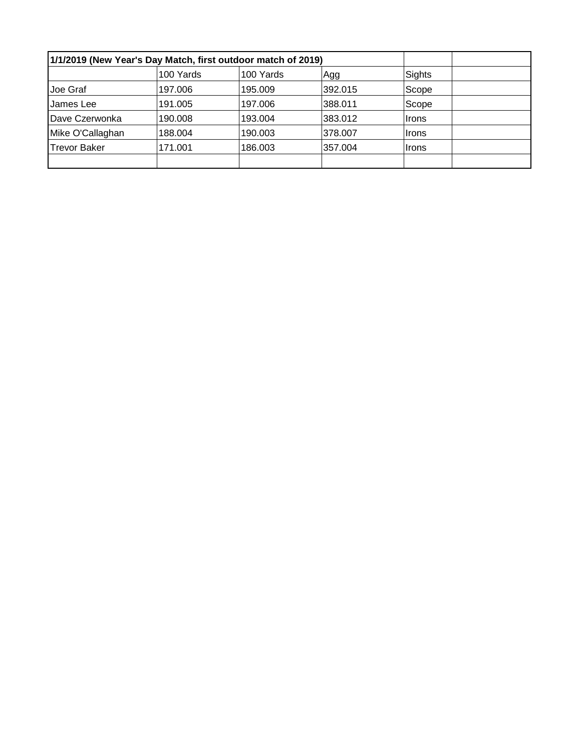| 1/1/2019 (New Year's Day Match, first outdoor match of 2019) |           |           |         |        |  |
|--------------------------------------------------------------|-----------|-----------|---------|--------|--|
|                                                              | 100 Yards | 100 Yards | Agg     | Sights |  |
| Joe Graf                                                     | 197.006   | 195.009   | 392.015 | Scope  |  |
| James Lee                                                    | 191.005   | 197.006   | 388.011 | Scope  |  |
| Dave Czerwonka                                               | 190,008   | 193.004   | 383.012 | ∣Irons |  |
| Mike O'Callaghan                                             | 188.004   | 190.003   | 378,007 | ∣Irons |  |
| <b>Trevor Baker</b>                                          | 171.001   | 186.003   | 357.004 | ∣Irons |  |
|                                                              |           |           |         |        |  |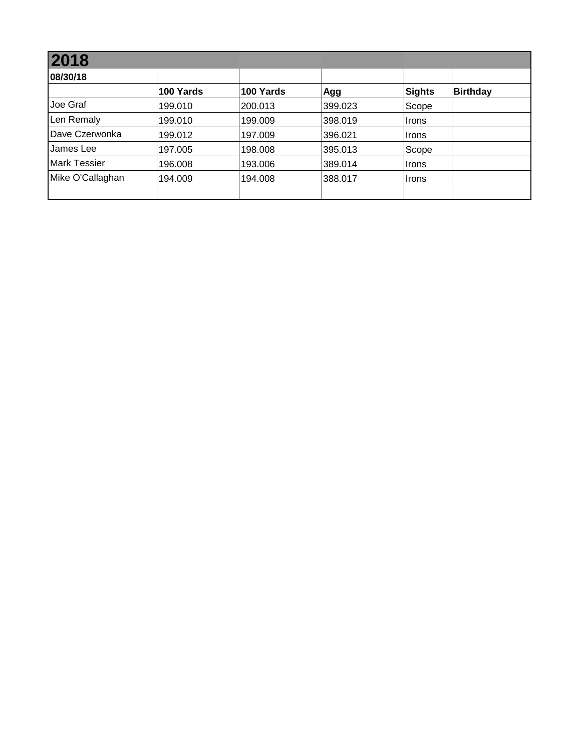| 2018                |           |           |         |               |                 |  |  |  |
|---------------------|-----------|-----------|---------|---------------|-----------------|--|--|--|
| 08/30/18            |           |           |         |               |                 |  |  |  |
|                     | 100 Yards | 100 Yards | Agg     | <b>Sights</b> | <b>Birthday</b> |  |  |  |
| Joe Graf            | 199.010   | 200.013   | 399.023 | Scope         |                 |  |  |  |
| Len Remaly          | 199.010   | 199.009   | 398.019 | <b>Irons</b>  |                 |  |  |  |
| Dave Czerwonka      | 199.012   | 197.009   | 396.021 | <b>Irons</b>  |                 |  |  |  |
| James Lee           | 197.005   | 198.008   | 395.013 | Scope         |                 |  |  |  |
| <b>Mark Tessier</b> | 196.008   | 193.006   | 389.014 | Irons         |                 |  |  |  |
| Mike O'Callaghan    | 194.009   | 194.008   | 388.017 | <b>Irons</b>  |                 |  |  |  |
|                     |           |           |         |               |                 |  |  |  |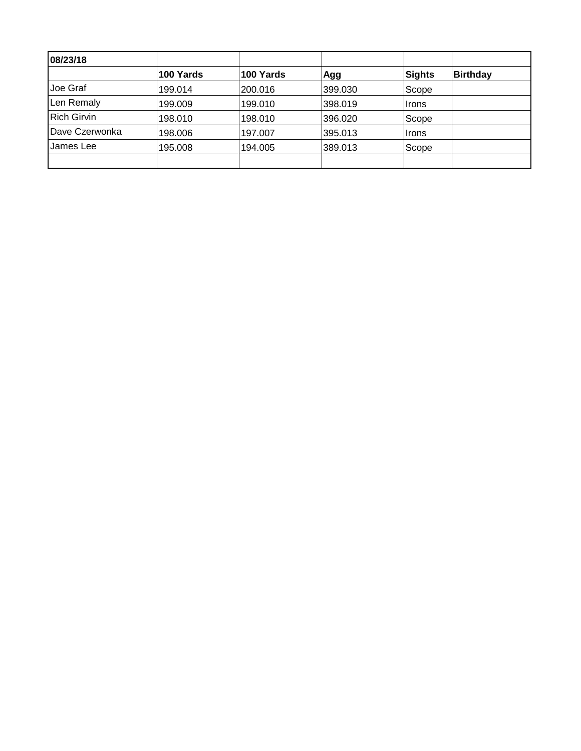| 08/23/18           |           |           |         |        |                 |
|--------------------|-----------|-----------|---------|--------|-----------------|
|                    | 100 Yards | 100 Yards | Agg     | Sights | <b>Birthday</b> |
| Joe Graf           | 199.014   | 200.016   | 399.030 | Scope  |                 |
| Len Remaly         | 199.009   | 199.010   | 398.019 | ∣Irons |                 |
| <b>Rich Girvin</b> | 198.010   | 198.010   | 396.020 | Scope  |                 |
| Dave Czerwonka     | 198.006   | 197.007   | 395.013 | ∣Irons |                 |
| James Lee          | 195.008   | 194.005   | 389.013 | Scope  |                 |
|                    |           |           |         |        |                 |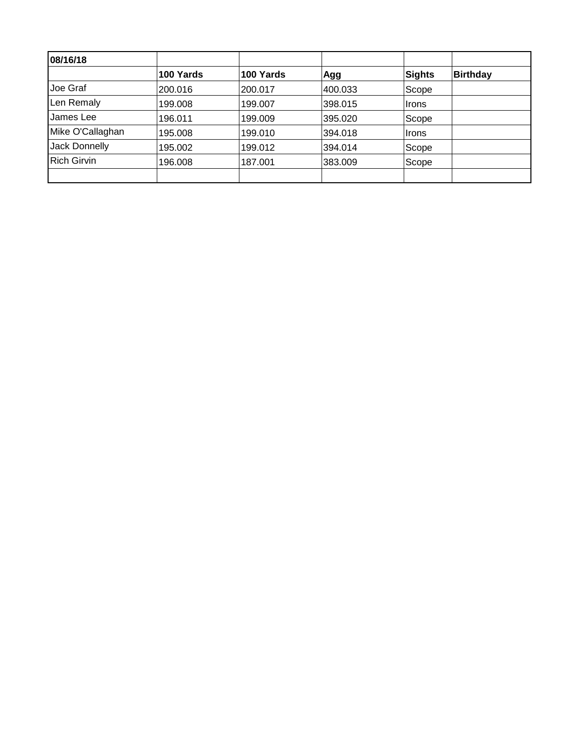| 08/16/18             |           |           |         |               |                 |
|----------------------|-----------|-----------|---------|---------------|-----------------|
|                      | 100 Yards | 100 Yards | Agg     | <b>Sights</b> | <b>Birthday</b> |
| Joe Graf             | 200.016   | 200.017   | 400.033 | Scope         |                 |
| Len Remaly           | 199.008   | 199.007   | 398.015 | ∣Irons        |                 |
| James Lee            | 196.011   | 199.009   | 395.020 | Scope         |                 |
| Mike O'Callaghan     | 195.008   | 199.010   | 394.018 | ∣Irons        |                 |
| <b>Jack Donnelly</b> | 195.002   | 199.012   | 394.014 | Scope         |                 |
| <b>Rich Girvin</b>   | 196.008   | 187.001   | 383.009 | Scope         |                 |
|                      |           |           |         |               |                 |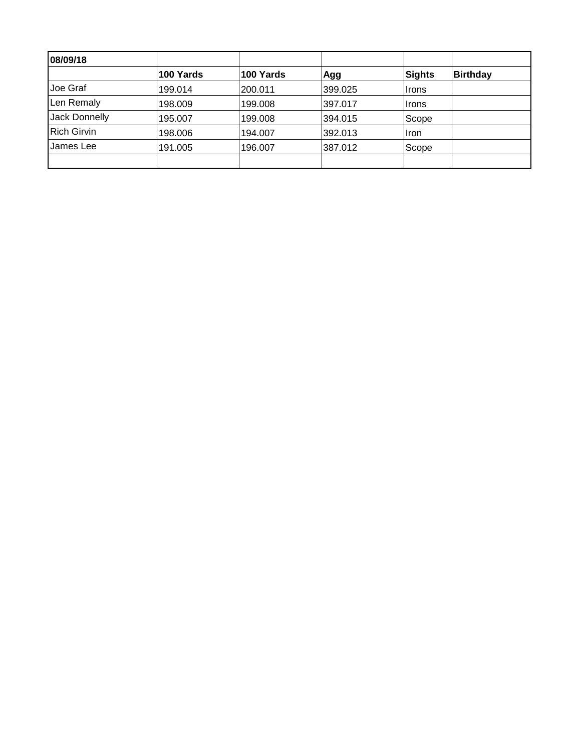| 08/09/18           |           |           |         |        |                 |
|--------------------|-----------|-----------|---------|--------|-----------------|
|                    | 100 Yards | 100 Yards | Agg     | Sights | <b>Birthday</b> |
| Joe Graf           | 199.014   | 200.011   | 399.025 | ∣Irons |                 |
| Len Remaly         | 198.009   | 199.008   | 397.017 | ∣Irons |                 |
| Jack Donnelly      | 195.007   | 199.008   | 394.015 | Scope  |                 |
| <b>Rich Girvin</b> | 198.006   | 194.007   | 392.013 | Ilron  |                 |
| James Lee          | 191.005   | 196.007   | 387.012 | Scope  |                 |
|                    |           |           |         |        |                 |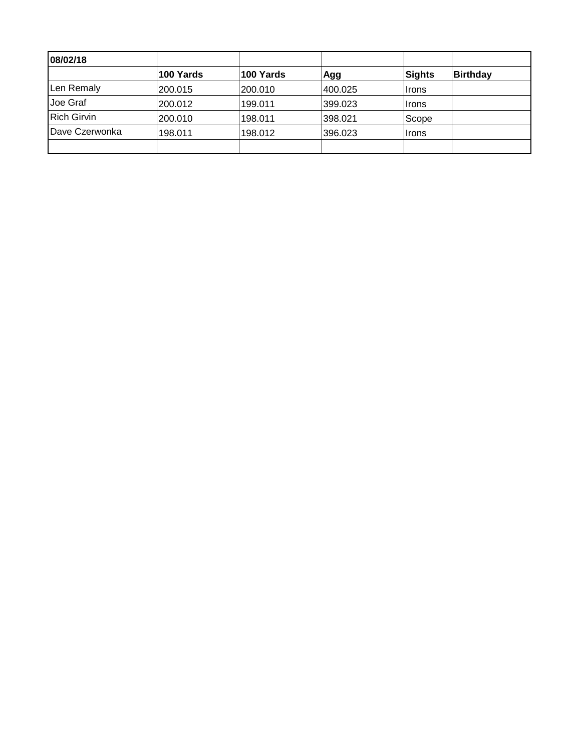| 08/02/18           |           |           |         |              |          |
|--------------------|-----------|-----------|---------|--------------|----------|
|                    | 100 Yards | 100 Yards | Agg     | Sights       | Birthday |
| Len Remaly         | 200.015   | 200.010   | 400.025 | ∣Irons       |          |
| Joe Graf           | 200.012   | 199.011   | 399.023 | <b>Irons</b> |          |
| <b>Rich Girvin</b> | 200.010   | 198.011   | 398.021 | Scope        |          |
| Dave Czerwonka     | 198.011   | 198.012   | 396.023 | <b>Irons</b> |          |
|                    |           |           |         |              |          |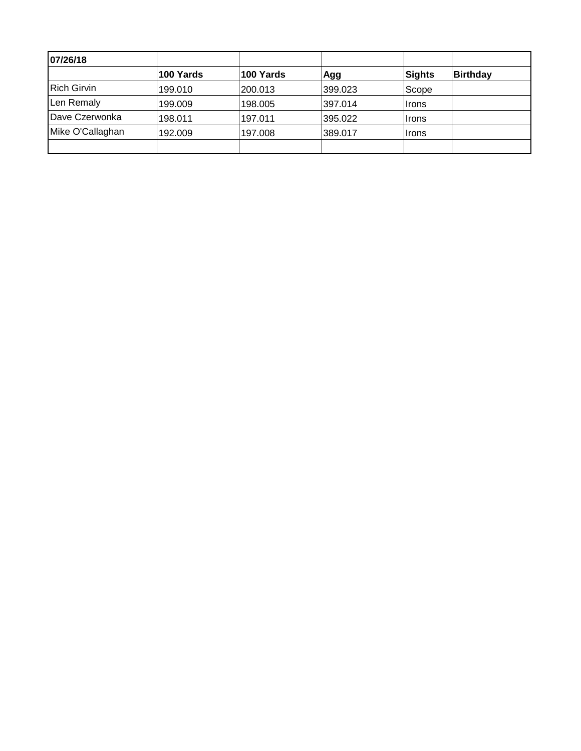| 07/26/18           |           |           |         |              |                 |
|--------------------|-----------|-----------|---------|--------------|-----------------|
|                    | 100 Yards | 100 Yards | Agg     | Sights       | <b>Birthday</b> |
| <b>Rich Girvin</b> | 199.010   | 200.013   | 399.023 | Scope        |                 |
| Len Remaly         | 199.009   | 198.005   | 397.014 | <b>Irons</b> |                 |
| Dave Czerwonka     | 198.011   | 197.011   | 395.022 | <b>Irons</b> |                 |
| Mike O'Callaghan   | 192.009   | 197.008   | 389.017 | Irons        |                 |
|                    |           |           |         |              |                 |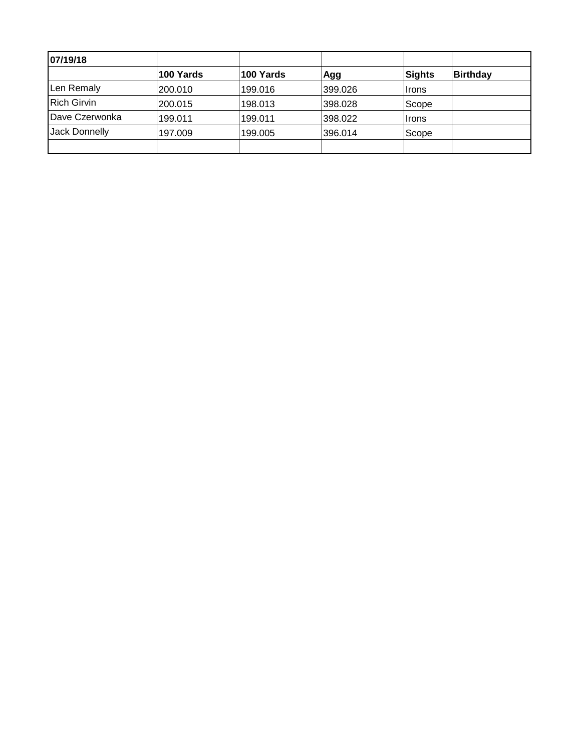| 07/19/18           |           |           |         |              |          |
|--------------------|-----------|-----------|---------|--------------|----------|
|                    | 100 Yards | 100 Yards | Agg     | Sights       | Birthday |
| Len Remaly         | 200.010   | 199.016   | 399.026 | ∣Irons       |          |
| <b>Rich Girvin</b> | 200.015   | 198.013   | 398.028 | Scope        |          |
| Dave Czerwonka     | 199.011   | 199.011   | 398.022 | <b>Irons</b> |          |
| Jack Donnelly      | 197.009   | 199.005   | 396.014 | Scope        |          |
|                    |           |           |         |              |          |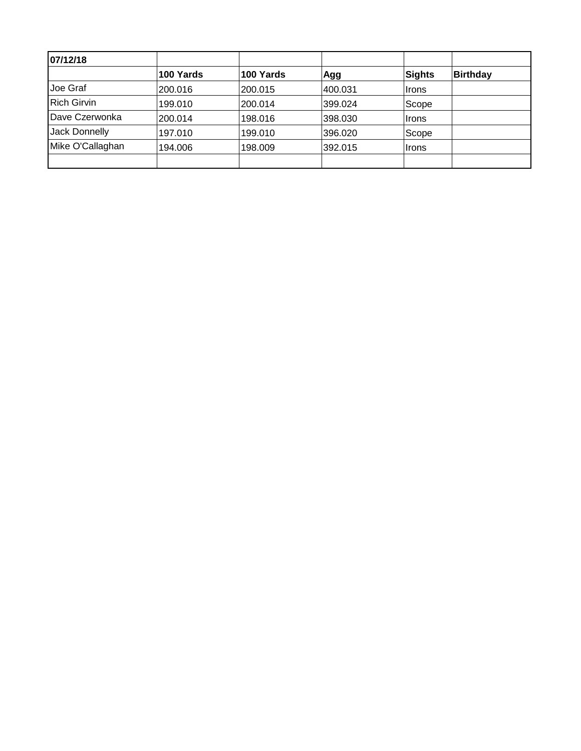| 07/12/18           |           |           |         |              |                 |
|--------------------|-----------|-----------|---------|--------------|-----------------|
|                    | 100 Yards | 100 Yards | Agg     | Sights       | <b>Birthday</b> |
| Joe Graf           | 200.016   | 200.015   | 400.031 | ∣Irons       |                 |
| <b>Rich Girvin</b> | 199.010   | 200.014   | 399.024 | Scope        |                 |
| Dave Czerwonka     | 200.014   | 198.016   | 398.030 | ∣Irons       |                 |
| Jack Donnelly      | 197.010   | 199.010   | 396.020 | Scope        |                 |
| Mike O'Callaghan   | 194.006   | 198.009   | 392.015 | <b>Irons</b> |                 |
|                    |           |           |         |              |                 |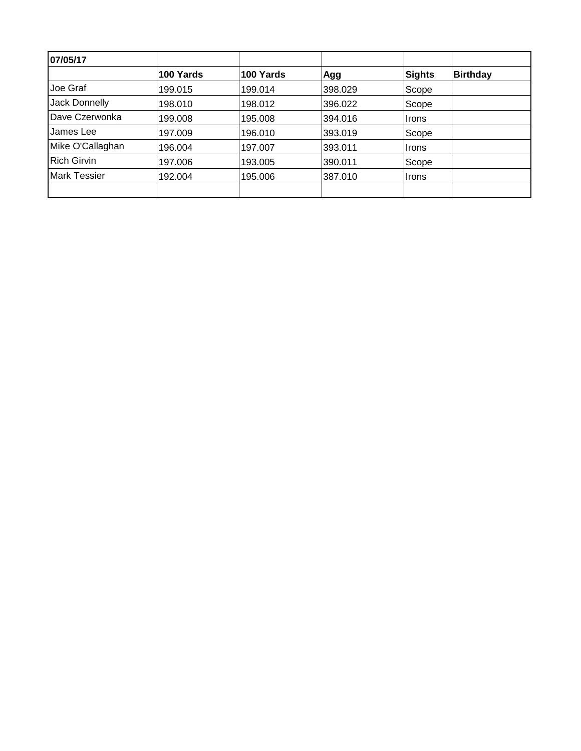| 07/05/17            |           |           |         |               |                 |
|---------------------|-----------|-----------|---------|---------------|-----------------|
|                     | 100 Yards | 100 Yards | Agg     | <b>Sights</b> | <b>Birthday</b> |
| Joe Graf            | 199.015   | 199.014   | 398.029 | Scope         |                 |
| Jack Donnelly       | 198.010   | 198.012   | 396.022 | Scope         |                 |
| Dave Czerwonka      | 199.008   | 195.008   | 394.016 | <b>Irons</b>  |                 |
| James Lee           | 197.009   | 196.010   | 393.019 | Scope         |                 |
| Mike O'Callaghan    | 196.004   | 197.007   | 393.011 | <b>Irons</b>  |                 |
| <b>Rich Girvin</b>  | 197.006   | 193.005   | 390.011 | Scope         |                 |
| <b>Mark Tessier</b> | 192.004   | 195.006   | 387.010 | ∣Irons        |                 |
|                     |           |           |         |               |                 |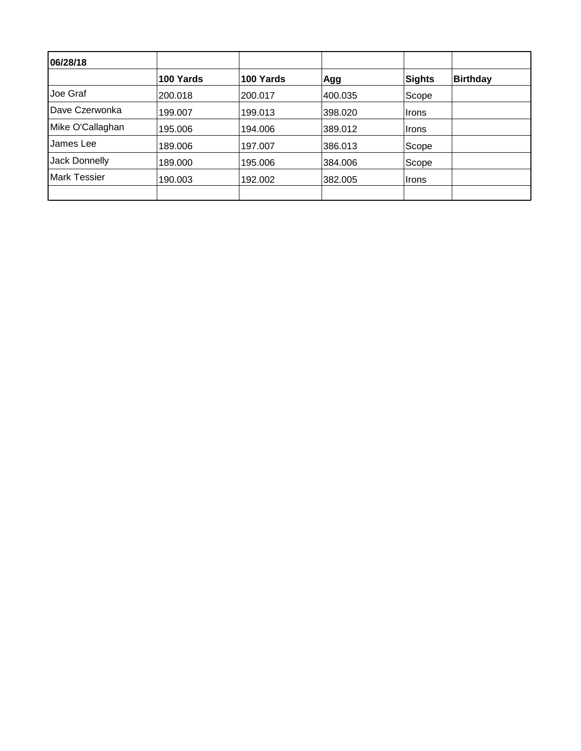| 06/28/18            |           |           |         |        |                 |
|---------------------|-----------|-----------|---------|--------|-----------------|
|                     | 100 Yards | 100 Yards | Agg     | Sights | <b>Birthday</b> |
| Joe Graf            | 200.018   | 200.017   | 400.035 | Scope  |                 |
| Dave Czerwonka      | 199.007   | 199.013   | 398.020 | ∣Irons |                 |
| Mike O'Callaghan    | 195.006   | 194.006   | 389.012 | ∣Irons |                 |
| James Lee           | 189.006   | 197.007   | 386.013 | Scope  |                 |
| Jack Donnelly       | 189.000   | 195,006   | 384.006 | Scope  |                 |
| <b>Mark Tessier</b> | 190.003   | 192.002   | 382.005 | ∣Irons |                 |
|                     |           |           |         |        |                 |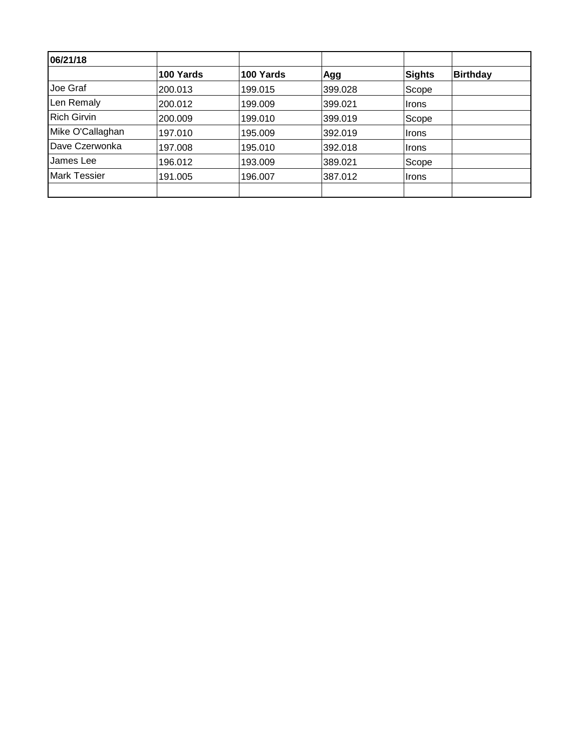| 06/21/18            |           |           |         |        |                 |
|---------------------|-----------|-----------|---------|--------|-----------------|
|                     | 100 Yards | 100 Yards | Agg     | Sights | <b>Birthday</b> |
| Joe Graf            | 200.013   | 199.015   | 399.028 | Scope  |                 |
| Len Remaly          | 200.012   | 199.009   | 399.021 | Irons  |                 |
| <b>Rich Girvin</b>  | 200.009   | 199.010   | 399.019 | Scope  |                 |
| Mike O'Callaghan    | 197.010   | 195.009   | 392.019 | Irons  |                 |
| Dave Czerwonka      | 197.008   | 195.010   | 392.018 | ∣Irons |                 |
| James Lee           | 196.012   | 193.009   | 389.021 | Scope  |                 |
| <b>Mark Tessier</b> | 191.005   | 196.007   | 387.012 | ∣Irons |                 |
|                     |           |           |         |        |                 |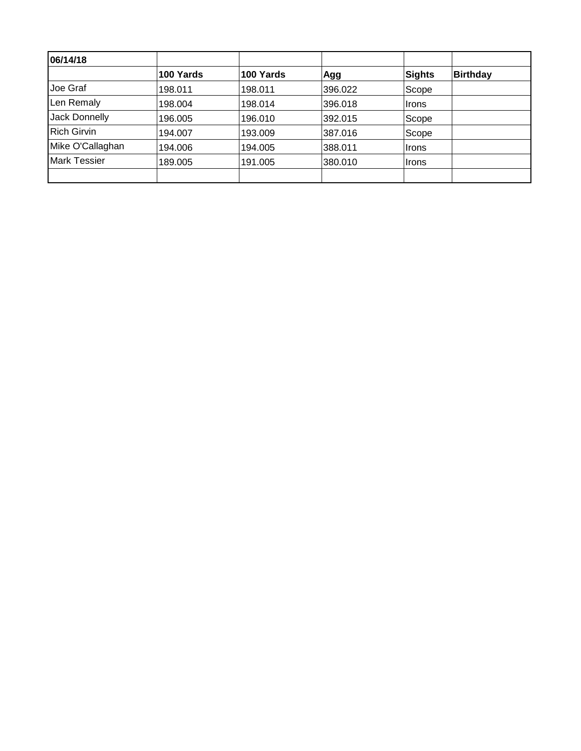| 06/14/18            |           |           |         |        |                 |
|---------------------|-----------|-----------|---------|--------|-----------------|
|                     | 100 Yards | 100 Yards | Agg     | Sights | <b>Birthday</b> |
| Joe Graf            | 198.011   | 198.011   | 396.022 | Scope  |                 |
| Len Remaly          | 198.004   | 198.014   | 396.018 | Irons  |                 |
| Jack Donnelly       | 196.005   | 196.010   | 392.015 | Scope  |                 |
| <b>Rich Girvin</b>  | 194.007   | 193.009   | 387.016 | Scope  |                 |
| Mike O'Callaghan    | 194.006   | 194.005   | 388.011 | ∣Irons |                 |
| <b>Mark Tessier</b> | 189.005   | 191.005   | 380.010 | ∣Irons |                 |
|                     |           |           |         |        |                 |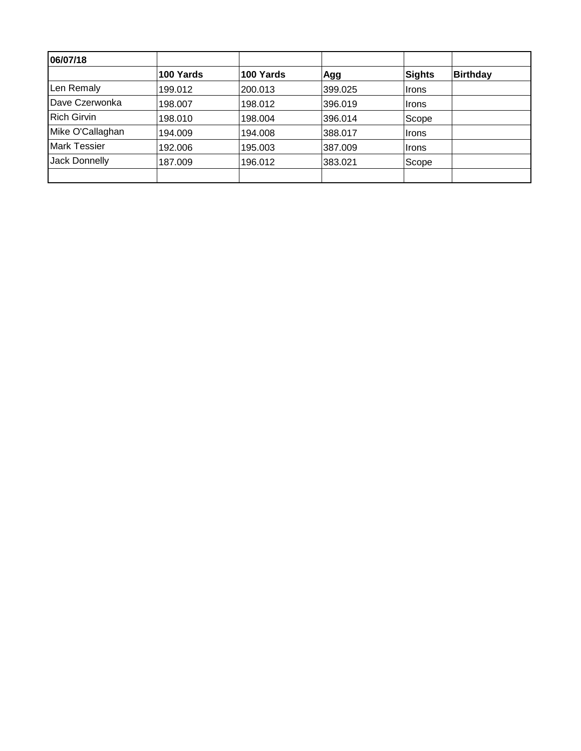| 06/07/18            |           |           |         |        |                 |
|---------------------|-----------|-----------|---------|--------|-----------------|
|                     | 100 Yards | 100 Yards | Agg     | Sights | <b>Birthday</b> |
| Len Remaly          | 199.012   | 200.013   | 399.025 | Irons  |                 |
| Dave Czerwonka      | 198.007   | 198.012   | 396.019 | ∣Irons |                 |
| <b>Rich Girvin</b>  | 198.010   | 198.004   | 396.014 | Scope  |                 |
| Mike O'Callaghan    | 194.009   | 194.008   | 388.017 | ∣Irons |                 |
| <b>Mark Tessier</b> | 192.006   | 195.003   | 387.009 | ∣Irons |                 |
| Jack Donnelly       | 187.009   | 196.012   | 383.021 | Scope  |                 |
|                     |           |           |         |        |                 |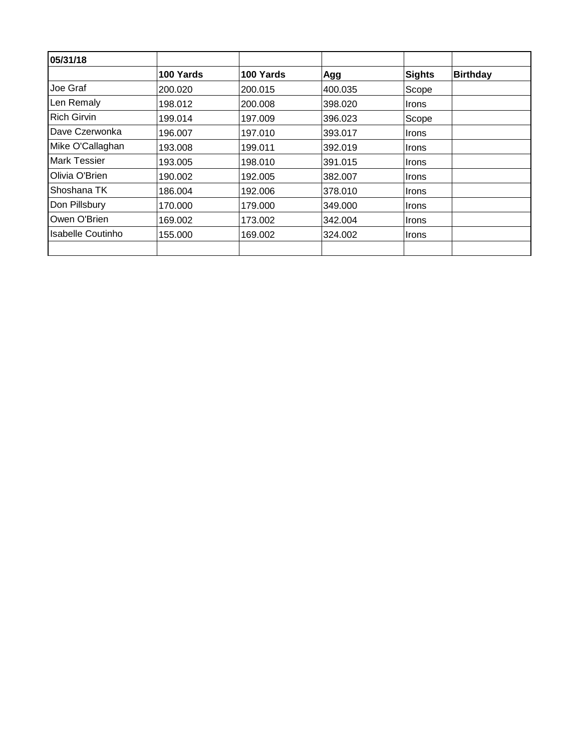| 05/31/18            |           |           |         |               |                 |
|---------------------|-----------|-----------|---------|---------------|-----------------|
|                     | 100 Yards | 100 Yards | Agg     | <b>Sights</b> | <b>Birthday</b> |
| Joe Graf            | 200.020   | 200.015   | 400.035 | Scope         |                 |
| Len Remaly          | 198.012   | 200.008   | 398.020 | <b>Irons</b>  |                 |
| <b>Rich Girvin</b>  | 199.014   | 197.009   | 396.023 | Scope         |                 |
| Dave Czerwonka      | 196.007   | 197.010   | 393.017 | Irons         |                 |
| Mike O'Callaghan    | 193.008   | 199.011   | 392.019 | <b>Irons</b>  |                 |
| <b>Mark Tessier</b> | 193.005   | 198.010   | 391.015 | <b>Irons</b>  |                 |
| Olivia O'Brien      | 190.002   | 192.005   | 382,007 | <b>Irons</b>  |                 |
| Shoshana TK         | 186.004   | 192.006   | 378.010 | <b>Irons</b>  |                 |
| Don Pillsbury       | 170.000   | 179,000   | 349.000 | <b>Irons</b>  |                 |
| Owen O'Brien        | 169.002   | 173.002   | 342.004 | <b>Irons</b>  |                 |
| Isabelle Coutinho   | 155,000   | 169.002   | 324.002 | <b>Irons</b>  |                 |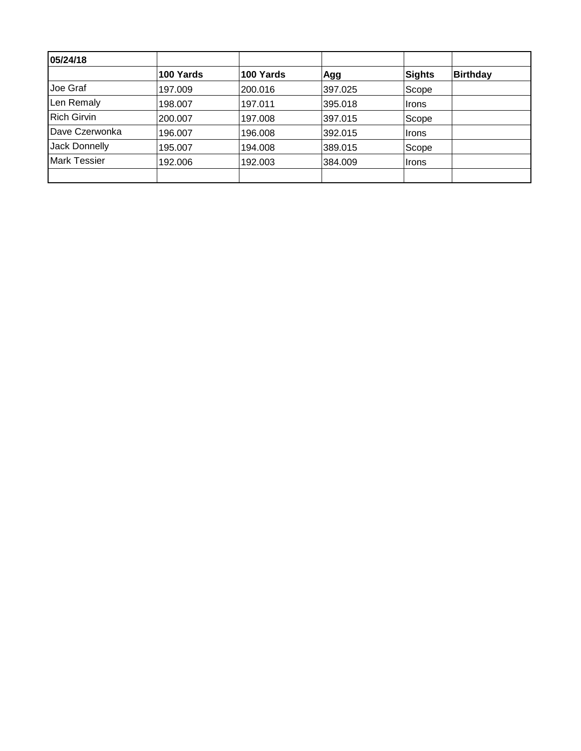| 05/24/18            |           |           |         |        |                 |
|---------------------|-----------|-----------|---------|--------|-----------------|
|                     | 100 Yards | 100 Yards | Agg     | Sights | <b>Birthday</b> |
| Joe Graf            | 197.009   | 200.016   | 397.025 | Scope  |                 |
| Len Remaly          | 198.007   | 197.011   | 395.018 | ∣Irons |                 |
| <b>Rich Girvin</b>  | 200.007   | 197.008   | 397.015 | Scope  |                 |
| Dave Czerwonka      | 196.007   | 196.008   | 392.015 | Irons  |                 |
| Jack Donnelly       | 195.007   | 194.008   | 389.015 | Scope  |                 |
| <b>Mark Tessier</b> | 192.006   | 192.003   | 384.009 | ∣Irons |                 |
|                     |           |           |         |        |                 |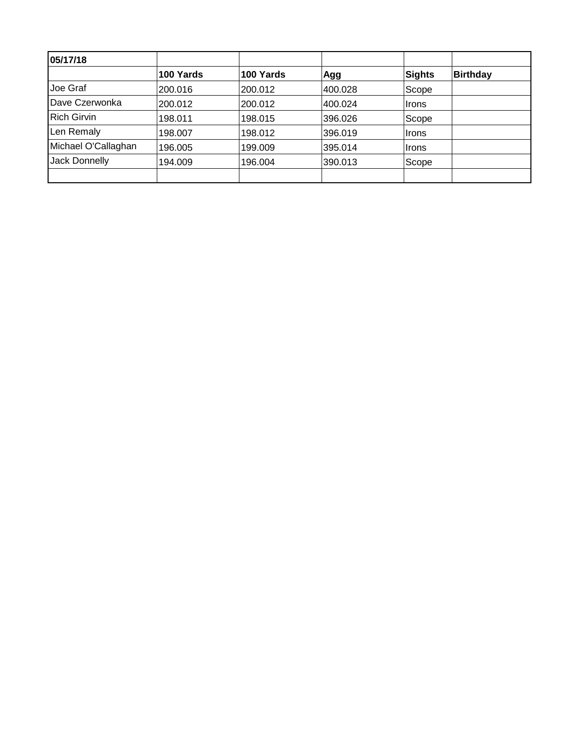| 05/17/18            |           |           |         |              |                 |
|---------------------|-----------|-----------|---------|--------------|-----------------|
|                     | 100 Yards | 100 Yards | Agg     | Sights       | <b>Birthday</b> |
| Joe Graf            | 200.016   | 200.012   | 400.028 | Scope        |                 |
| Dave Czerwonka      | 200.012   | 200.012   | 400.024 | Irons        |                 |
| <b>Rich Girvin</b>  | 198.011   | 198.015   | 396.026 | Scope        |                 |
| Len Remaly          | 198.007   | 198.012   | 396.019 | Irons        |                 |
| Michael O'Callaghan | 196.005   | 199.009   | 395.014 | <b>Irons</b> |                 |
| Jack Donnelly       | 194.009   | 196.004   | 390.013 | Scope        |                 |
|                     |           |           |         |              |                 |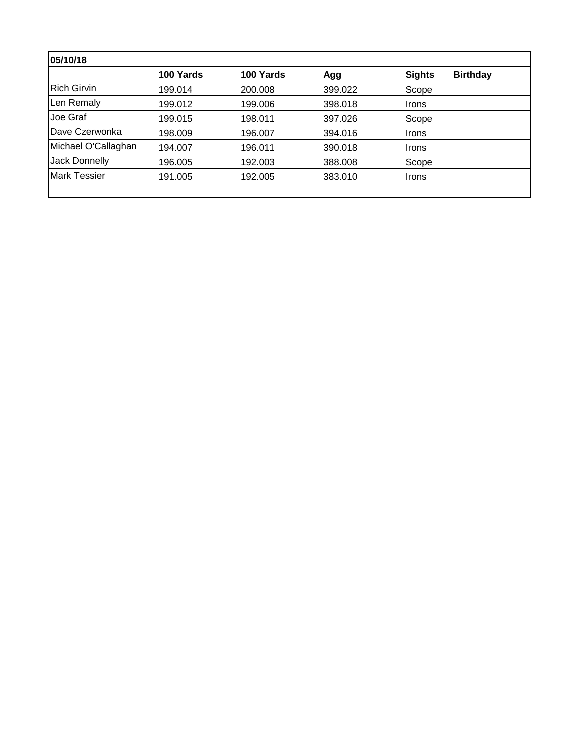| 05/10/18            |           |           |         |              |                 |
|---------------------|-----------|-----------|---------|--------------|-----------------|
|                     | 100 Yards | 100 Yards | Agg     | Sights       | <b>Birthday</b> |
| <b>Rich Girvin</b>  | 199.014   | 200.008   | 399.022 | Scope        |                 |
| Len Remaly          | 199.012   | 199.006   | 398.018 | Irons        |                 |
| Joe Graf            | 199.015   | 198.011   | 397.026 | Scope        |                 |
| Dave Czerwonka      | 198.009   | 196.007   | 394.016 | <b>Irons</b> |                 |
| Michael O'Callaghan | 194.007   | 196.011   | 390.018 | ∣Irons       |                 |
| Jack Donnelly       | 196.005   | 192.003   | 388.008 | Scope        |                 |
| <b>Mark Tessier</b> | 191.005   | 192.005   | 383.010 | <b>Irons</b> |                 |
|                     |           |           |         |              |                 |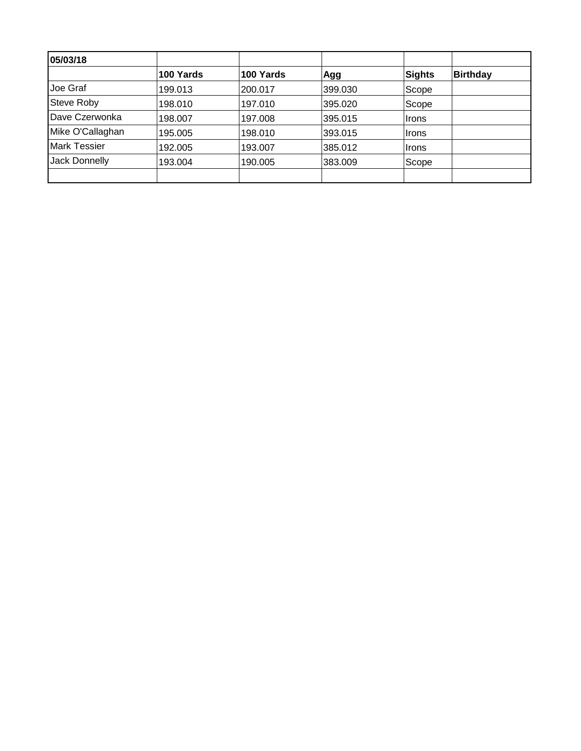| 05/03/18            |           |           |         |        |                 |
|---------------------|-----------|-----------|---------|--------|-----------------|
|                     | 100 Yards | 100 Yards | Agg     | Sights | <b>Birthday</b> |
| Joe Graf            | 199.013   | 200.017   | 399.030 | Scope  |                 |
| <b>Steve Roby</b>   | 198.010   | 197.010   | 395.020 | Scope  |                 |
| Dave Czerwonka      | 198.007   | 197.008   | 395.015 | Irons  |                 |
| Mike O'Callaghan    | 195.005   | 198.010   | 393.015 | ∣Irons |                 |
| <b>Mark Tessier</b> | 192.005   | 193.007   | 385.012 | ∣Irons |                 |
| Jack Donnelly       | 193.004   | 190.005   | 383.009 | Scope  |                 |
|                     |           |           |         |        |                 |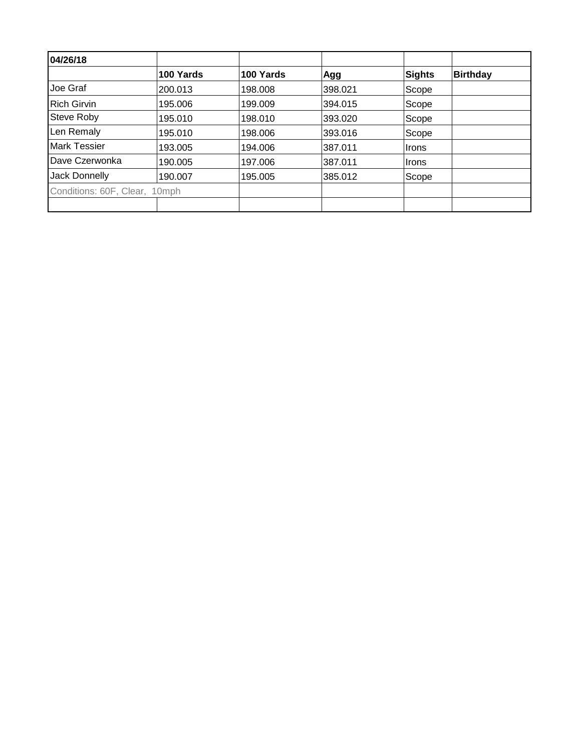| 04/26/18                      |           |           |         |               |                 |
|-------------------------------|-----------|-----------|---------|---------------|-----------------|
|                               | 100 Yards | 100 Yards | Agg     | <b>Sights</b> | <b>Birthday</b> |
| Joe Graf                      | 200.013   | 198,008   | 398.021 | Scope         |                 |
| <b>Rich Girvin</b>            | 195.006   | 199.009   | 394.015 | Scope         |                 |
| Steve Roby                    | 195.010   | 198.010   | 393.020 | Scope         |                 |
| Len Remaly                    | 195.010   | 198.006   | 393.016 | Scope         |                 |
| Mark Tessier                  | 193.005   | 194.006   | 387.011 | ∣Irons        |                 |
| Dave Czerwonka                | 190.005   | 197.006   | 387.011 | ∣Irons        |                 |
| Jack Donnelly                 | 190.007   | 195.005   | 385.012 | Scope         |                 |
| Conditions: 60F, Clear, 10mph |           |           |         |               |                 |
|                               |           |           |         |               |                 |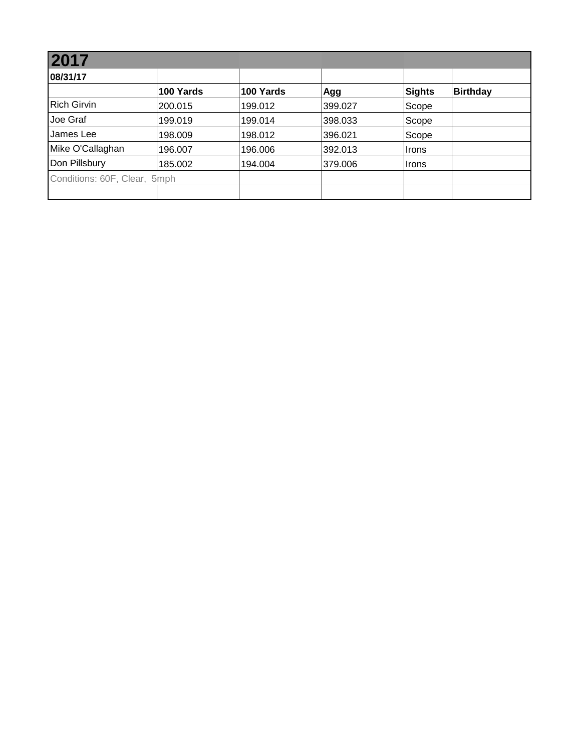| 2017                         |           |           |         |        |                 |  |  |  |
|------------------------------|-----------|-----------|---------|--------|-----------------|--|--|--|
| 08/31/17                     |           |           |         |        |                 |  |  |  |
|                              | 100 Yards | 100 Yards | Agg     | Sights | <b>Birthday</b> |  |  |  |
| <b>Rich Girvin</b>           | 200.015   | 199.012   | 399.027 | Scope  |                 |  |  |  |
| Joe Graf                     | 199.019   | 199.014   | 398.033 | Scope  |                 |  |  |  |
| James Lee                    | 198.009   | 198.012   | 396.021 | Scope  |                 |  |  |  |
| Mike O'Callaghan             | 196.007   | 196.006   | 392.013 | ∣Irons |                 |  |  |  |
| Don Pillsbury                | 185.002   | 194.004   | 379,006 | ∣Irons |                 |  |  |  |
| Conditions: 60F, Clear, 5mph |           |           |         |        |                 |  |  |  |
|                              |           |           |         |        |                 |  |  |  |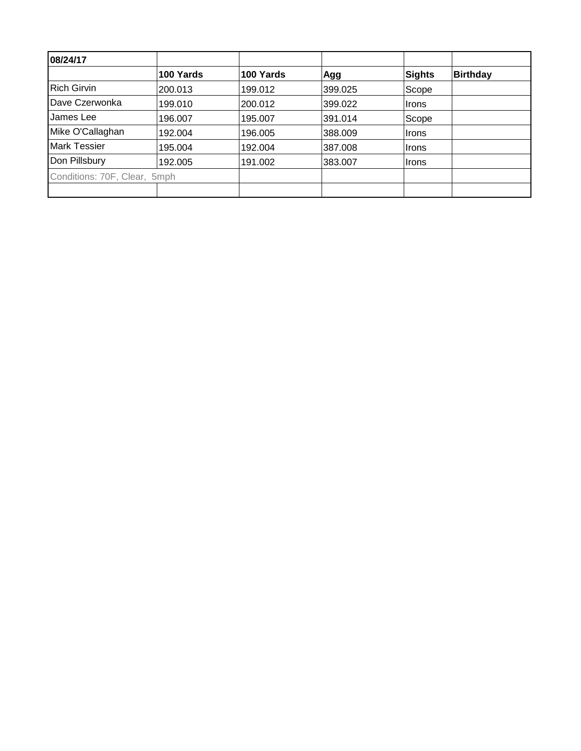| 08/24/17                     |           |           |         |               |                 |
|------------------------------|-----------|-----------|---------|---------------|-----------------|
|                              | 100 Yards | 100 Yards | Agg     | <b>Sights</b> | <b>Birthday</b> |
| <b>Rich Girvin</b>           | 200.013   | 199.012   | 399.025 | Scope         |                 |
| Dave Czerwonka               | 199.010   | 200.012   | 399.022 | Irons         |                 |
| James Lee                    | 196.007   | 195.007   | 391.014 | Scope         |                 |
| Mike O'Callaghan             | 192.004   | 196.005   | 388.009 | ∣Irons        |                 |
| Mark Tessier                 | 195.004   | 192.004   | 387.008 | <b>Irons</b>  |                 |
| Don Pillsbury                | 192.005   | 191.002   | 383.007 | <b>Irons</b>  |                 |
| Conditions: 70F, Clear, 5mph |           |           |         |               |                 |
|                              |           |           |         |               |                 |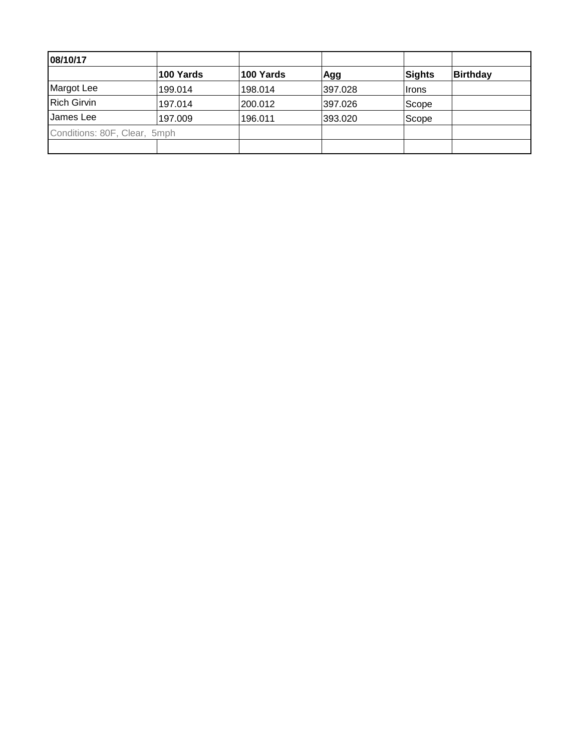| 08/10/17                     |           |           |         |        |                 |
|------------------------------|-----------|-----------|---------|--------|-----------------|
|                              | 100 Yards | 100 Yards | Agg     | Sights | <b>Birthday</b> |
| Margot Lee                   | 199.014   | 198.014   | 397.028 | ∣Irons |                 |
| <b>Rich Girvin</b>           | 197.014   | 200.012   | 397.026 | Scope  |                 |
| James Lee                    | 197.009   | 196.011   | 393.020 | Scope  |                 |
| Conditions: 80F, Clear, 5mph |           |           |         |        |                 |
|                              |           |           |         |        |                 |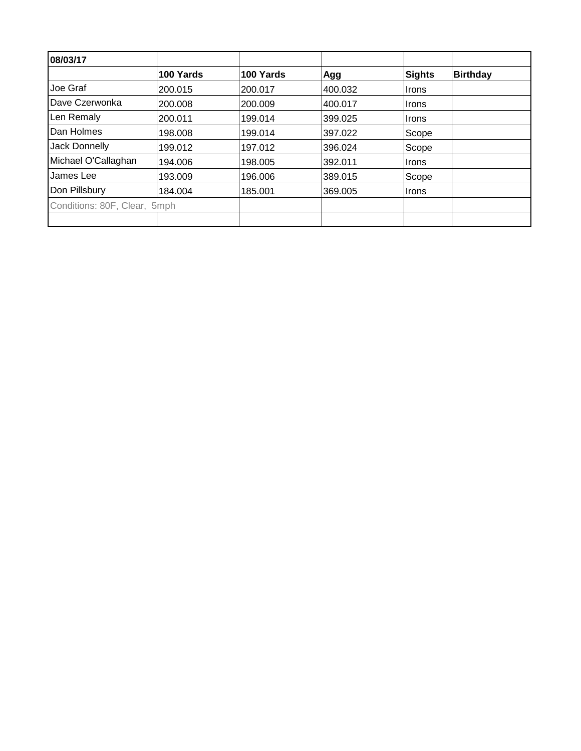| 08/03/17                     |           |           |         |        |                 |
|------------------------------|-----------|-----------|---------|--------|-----------------|
|                              | 100 Yards | 100 Yards | Agg     | Sights | <b>Birthday</b> |
| Joe Graf                     | 200.015   | 200.017   | 400.032 | Irons  |                 |
| Dave Czerwonka               | 200.008   | 200.009   | 400.017 | Irons  |                 |
| Len Remaly                   | 200.011   | 199.014   | 399.025 | ∣Irons |                 |
| Dan Holmes                   | 198.008   | 199.014   | 397.022 | Scope  |                 |
| <b>Jack Donnelly</b>         | 199.012   | 197.012   | 396.024 | Scope  |                 |
| Michael O'Callaghan          | 194.006   | 198.005   | 392.011 | Irons  |                 |
| James Lee                    | 193.009   | 196.006   | 389.015 | Scope  |                 |
| Don Pillsbury                | 184.004   | 185.001   | 369.005 | Irons  |                 |
| Conditions: 80F, Clear, 5mph |           |           |         |        |                 |
|                              |           |           |         |        |                 |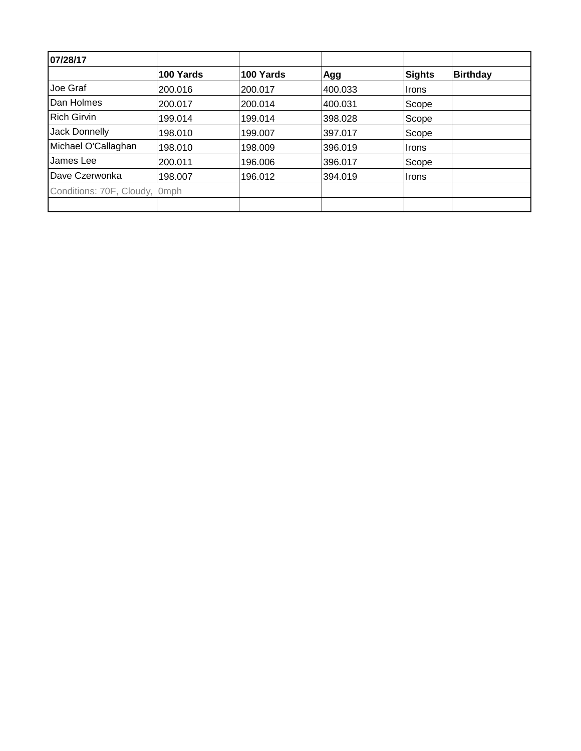| 07/28/17                      |           |           |         |               |                 |
|-------------------------------|-----------|-----------|---------|---------------|-----------------|
|                               | 100 Yards | 100 Yards | Agg     | <b>Sights</b> | <b>Birthday</b> |
| Joe Graf                      | 200.016   | 200.017   | 400.033 | Irons         |                 |
| Dan Holmes                    | 200.017   | 200.014   | 400.031 | Scope         |                 |
| <b>Rich Girvin</b>            | 199.014   | 199.014   | 398.028 | Scope         |                 |
| Jack Donnelly                 | 198.010   | 199.007   | 397.017 | Scope         |                 |
| Michael O'Callaghan           | 198.010   | 198.009   | 396.019 | ∣Irons        |                 |
| James Lee                     | 200.011   | 196.006   | 396.017 | Scope         |                 |
| Dave Czerwonka                | 198.007   | 196.012   | 394.019 | <b>Irons</b>  |                 |
| Conditions: 70F, Cloudy, 0mph |           |           |         |               |                 |
|                               |           |           |         |               |                 |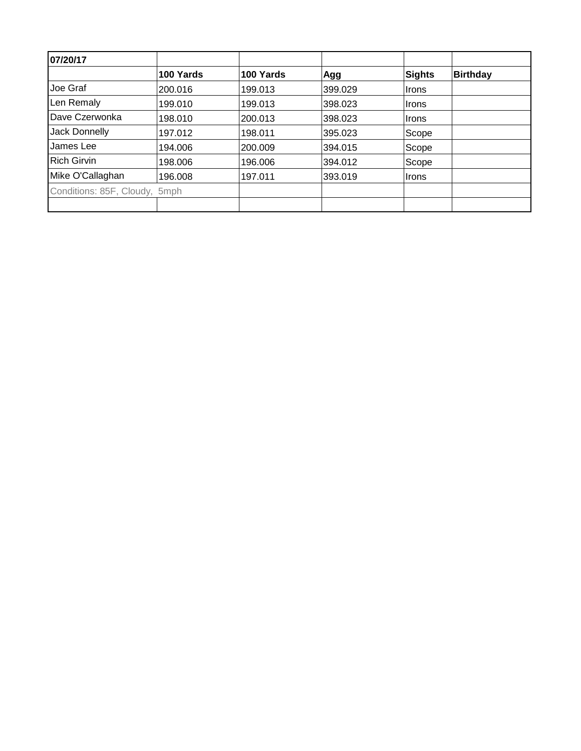| 07/20/17                      |           |           |         |               |                 |
|-------------------------------|-----------|-----------|---------|---------------|-----------------|
|                               | 100 Yards | 100 Yards | Agg     | <b>Sights</b> | <b>Birthday</b> |
| Joe Graf                      | 200.016   | 199.013   | 399.029 | ∣Irons        |                 |
| Len Remaly                    | 199.010   | 199.013   | 398.023 | <b>Irons</b>  |                 |
| Dave Czerwonka                | 198.010   | 200.013   | 398.023 | ∣Irons        |                 |
| Jack Donnelly                 | 197.012   | 198.011   | 395.023 | Scope         |                 |
| James Lee                     | 194.006   | 200.009   | 394.015 | Scope         |                 |
| <b>Rich Girvin</b>            | 198.006   | 196,006   | 394.012 | Scope         |                 |
| Mike O'Callaghan              | 196.008   | 197.011   | 393.019 | <b>Irons</b>  |                 |
| Conditions: 85F, Cloudy, 5mph |           |           |         |               |                 |
|                               |           |           |         |               |                 |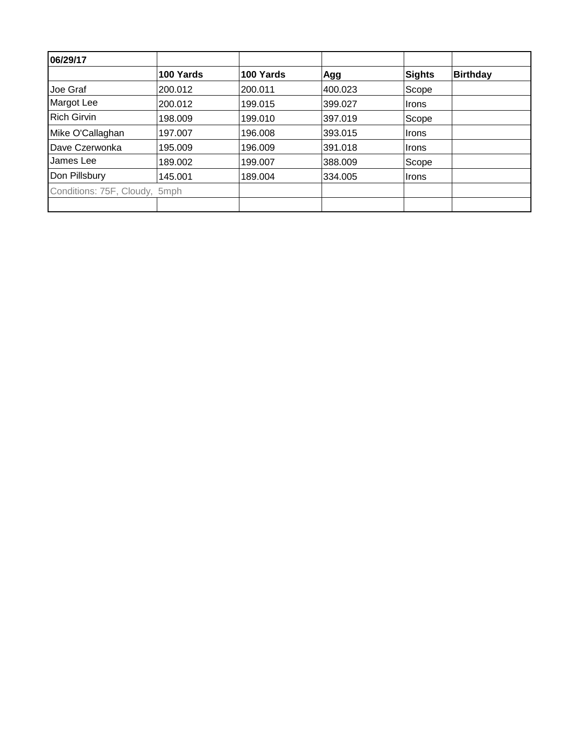| 06/29/17                      |           |           |         |               |                 |
|-------------------------------|-----------|-----------|---------|---------------|-----------------|
|                               | 100 Yards | 100 Yards | Agg     | <b>Sights</b> | <b>Birthday</b> |
| Joe Graf                      | 200.012   | 200.011   | 400.023 | Scope         |                 |
| Margot Lee                    | 200.012   | 199.015   | 399.027 | <b>Irons</b>  |                 |
| <b>Rich Girvin</b>            | 198.009   | 199.010   | 397.019 | Scope         |                 |
| Mike O'Callaghan              | 197.007   | 196.008   | 393.015 | <b>Irons</b>  |                 |
| Dave Czerwonka                | 195.009   | 196.009   | 391.018 | <b>Irons</b>  |                 |
| James Lee                     | 189.002   | 199.007   | 388,009 | Scope         |                 |
| Don Pillsbury                 | 145.001   | 189.004   | 334.005 | <b>Irons</b>  |                 |
| Conditions: 75F, Cloudy, 5mph |           |           |         |               |                 |
|                               |           |           |         |               |                 |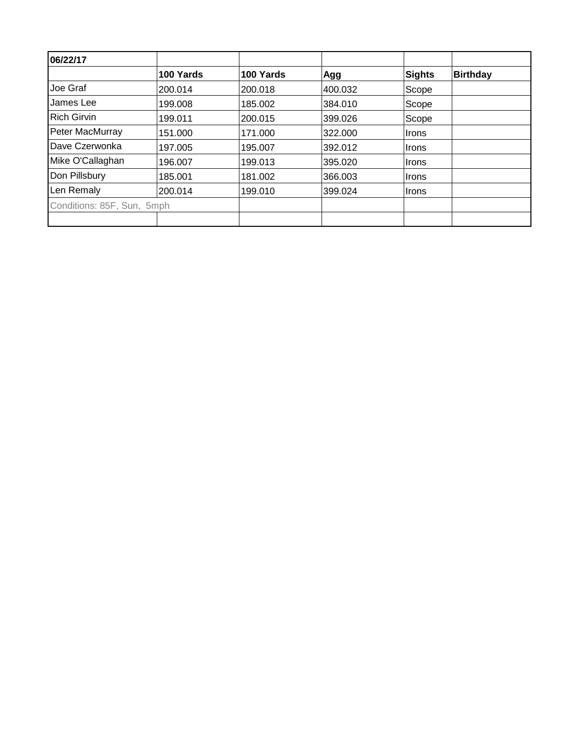| 06/22/17                   |           |           |         |               |                 |
|----------------------------|-----------|-----------|---------|---------------|-----------------|
|                            | 100 Yards | 100 Yards | Agg     | <b>Sights</b> | <b>Birthday</b> |
| Joe Graf                   | 200.014   | 200.018   | 400.032 | Scope         |                 |
| James Lee                  | 199.008   | 185.002   | 384.010 | Scope         |                 |
| <b>Rich Girvin</b>         | 199.011   | 200.015   | 399.026 | Scope         |                 |
| Peter MacMurray            | 151.000   | 171.000   | 322.000 | Irons         |                 |
| Dave Czerwonka             | 197.005   | 195.007   | 392.012 | Irons         |                 |
| Mike O'Callaghan           | 196.007   | 199.013   | 395.020 | Irons         |                 |
| Don Pillsbury              | 185.001   | 181.002   | 366.003 | ∣Irons        |                 |
| Len Remaly                 | 200.014   | 199.010   | 399.024 | ∣Irons        |                 |
| Conditions: 85F, Sun, 5mph |           |           |         |               |                 |
|                            |           |           |         |               |                 |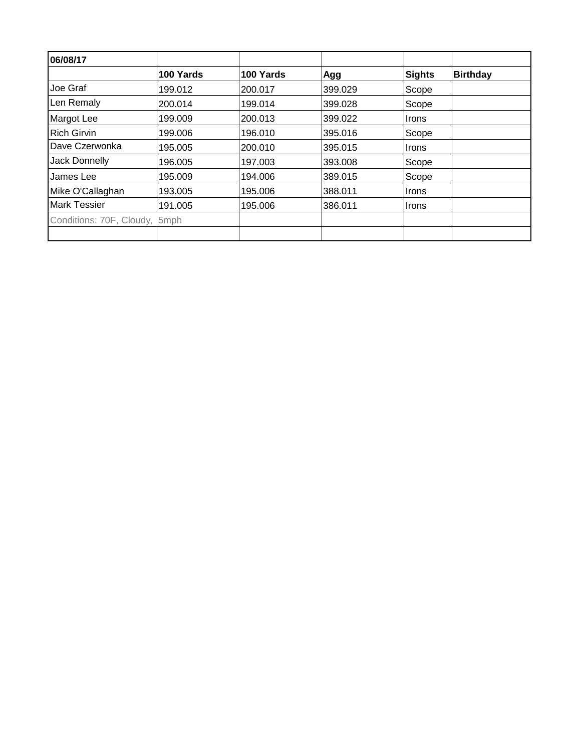| 06/08/17                      |           |           |         |               |                 |
|-------------------------------|-----------|-----------|---------|---------------|-----------------|
|                               | 100 Yards | 100 Yards | Agg     | <b>Sights</b> | <b>Birthday</b> |
| Joe Graf                      | 199.012   | 200.017   | 399.029 | Scope         |                 |
| Len Remaly                    | 200.014   | 199.014   | 399.028 | Scope         |                 |
| Margot Lee                    | 199.009   | 200.013   | 399.022 | <b>Irons</b>  |                 |
| <b>Rich Girvin</b>            | 199.006   | 196.010   | 395.016 | Scope         |                 |
| Dave Czerwonka                | 195.005   | 200.010   | 395.015 | <b>Irons</b>  |                 |
| Jack Donnelly                 | 196.005   | 197.003   | 393,008 | Scope         |                 |
| James Lee                     | 195.009   | 194.006   | 389.015 | Scope         |                 |
| Mike O'Callaghan              | 193.005   | 195.006   | 388.011 | ⊪Irons        |                 |
| <b>Mark Tessier</b>           | 191.005   | 195.006   | 386.011 | <b>Irons</b>  |                 |
| Conditions: 70F, Cloudy, 5mph |           |           |         |               |                 |
|                               |           |           |         |               |                 |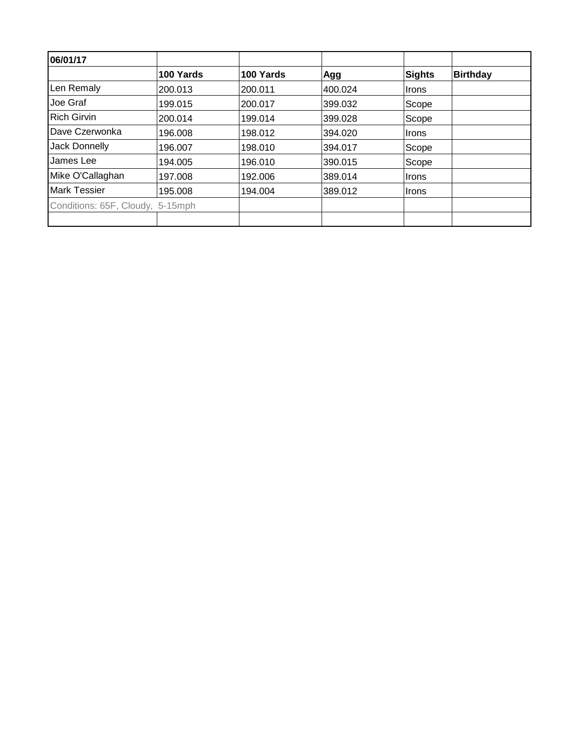| 06/01/17                         |           |           |         |        |                 |
|----------------------------------|-----------|-----------|---------|--------|-----------------|
|                                  | 100 Yards | 100 Yards | Agg     | Sights | <b>Birthday</b> |
| Len Remaly                       | 200.013   | 200.011   | 400.024 | Irons  |                 |
| Joe Graf                         | 199.015   | 200.017   | 399.032 | Scope  |                 |
| <b>Rich Girvin</b>               | 200.014   | 199.014   | 399.028 | Scope  |                 |
| Dave Czerwonka                   | 196.008   | 198.012   | 394.020 | Irons  |                 |
| <b>Jack Donnelly</b>             | 196.007   | 198.010   | 394.017 | Scope  |                 |
| James Lee                        | 194.005   | 196.010   | 390.015 | Scope  |                 |
| Mike O'Callaghan                 | 197.008   | 192.006   | 389.014 | Irons  |                 |
| <b>Mark Tessier</b>              | 195.008   | 194.004   | 389.012 | ∣Irons |                 |
| Conditions: 65F, Cloudy, 5-15mph |           |           |         |        |                 |
|                                  |           |           |         |        |                 |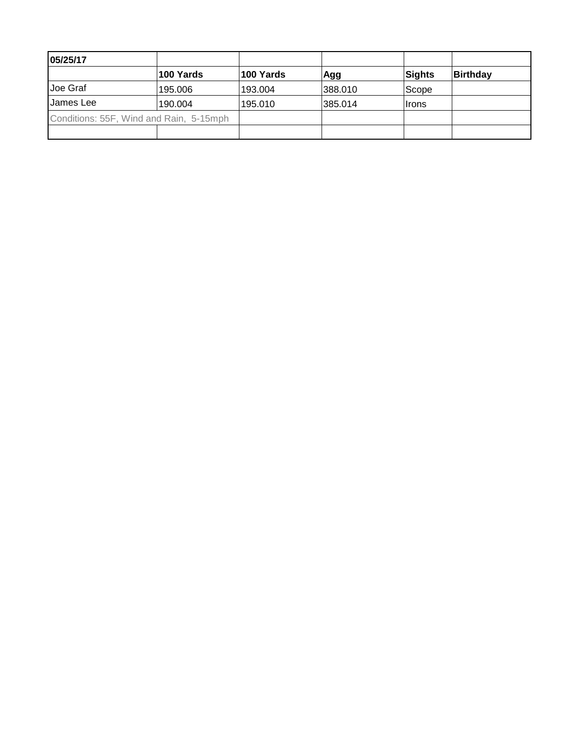| 05/25/17                                |           |           |         |              |          |
|-----------------------------------------|-----------|-----------|---------|--------------|----------|
|                                         | 100 Yards | 100 Yards | Agg     | Sights       | Birthday |
| Joe Graf                                | 195.006   | 193.004   | 388.010 | Scope        |          |
| IJames Lee                              | 190.004   | 195.010   | 385.014 | <b>Irons</b> |          |
| Conditions: 55F, Wind and Rain, 5-15mph |           |           |         |              |          |
|                                         |           |           |         |              |          |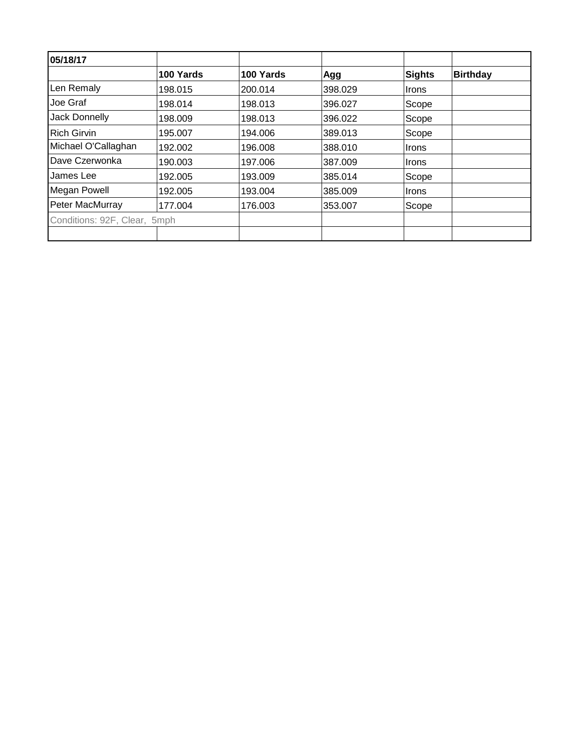| 05/18/17                     |           |           |         |               |                 |
|------------------------------|-----------|-----------|---------|---------------|-----------------|
|                              | 100 Yards | 100 Yards | Agg     | <b>Sights</b> | <b>Birthday</b> |
| Len Remaly                   | 198.015   | 200.014   | 398.029 | <b>Irons</b>  |                 |
| Joe Graf                     | 198.014   | 198.013   | 396.027 | Scope         |                 |
| Jack Donnelly                | 198.009   | 198.013   | 396.022 | Scope         |                 |
| <b>Rich Girvin</b>           | 195.007   | 194.006   | 389.013 | Scope         |                 |
| Michael O'Callaghan          | 192.002   | 196.008   | 388.010 | <b>Irons</b>  |                 |
| Dave Czerwonka               | 190.003   | 197.006   | 387.009 | Irons         |                 |
| James Lee                    | 192.005   | 193.009   | 385.014 | Scope         |                 |
| Megan Powell                 | 192.005   | 193.004   | 385.009 | <b>Irons</b>  |                 |
| Peter MacMurray              | 177.004   | 176.003   | 353.007 | Scope         |                 |
| Conditions: 92F, Clear, 5mph |           |           |         |               |                 |
|                              |           |           |         |               |                 |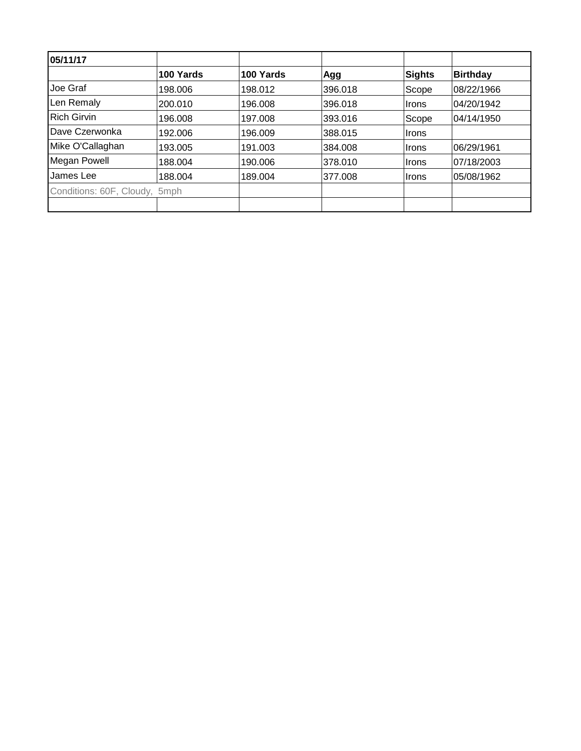| 05/11/17                      |           |           |         |               |                 |
|-------------------------------|-----------|-----------|---------|---------------|-----------------|
|                               | 100 Yards | 100 Yards | Agg     | <b>Sights</b> | <b>Birthday</b> |
| Joe Graf                      | 198.006   | 198.012   | 396.018 | Scope         | 08/22/1966      |
| Len Remaly                    | 200.010   | 196.008   | 396.018 | <b>Irons</b>  | 04/20/1942      |
| <b>Rich Girvin</b>            | 196.008   | 197.008   | 393.016 | Scope         | 04/14/1950      |
| Dave Czerwonka                | 192.006   | 196.009   | 388.015 | <b>Irons</b>  |                 |
| Mike O'Callaghan              | 193.005   | 191.003   | 384.008 | Irons         | 06/29/1961      |
| <b>Megan Powell</b>           | 188.004   | 190,006   | 378.010 | ∣Irons        | 07/18/2003      |
| James Lee                     | 188.004   | 189.004   | 377.008 | <b>Irons</b>  | 05/08/1962      |
| Conditions: 60F, Cloudy, 5mph |           |           |         |               |                 |
|                               |           |           |         |               |                 |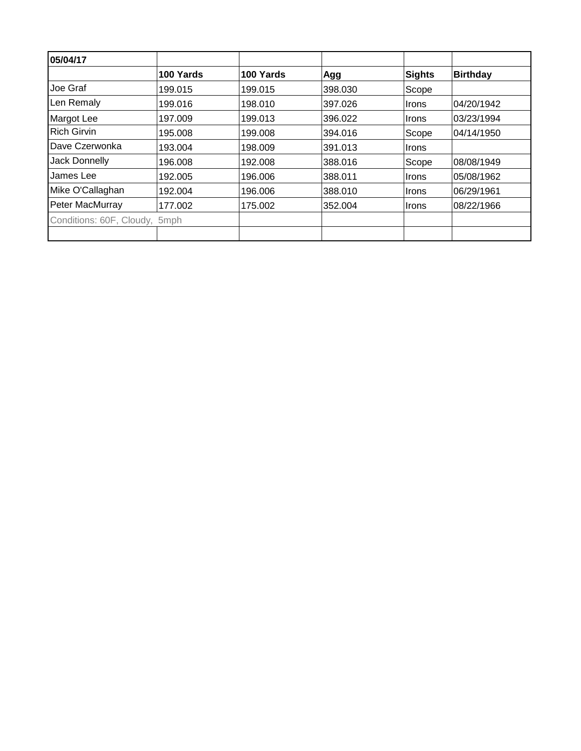| 05/04/17                      |           |           |         |        |                 |
|-------------------------------|-----------|-----------|---------|--------|-----------------|
|                               | 100 Yards | 100 Yards | Agg     | Sights | <b>Birthday</b> |
| Joe Graf                      | 199.015   | 199.015   | 398.030 | Scope  |                 |
| Len Remaly                    | 199.016   | 198.010   | 397.026 | Irons  | 04/20/1942      |
| Margot Lee                    | 197.009   | 199.013   | 396.022 | Irons  | 03/23/1994      |
| <b>Rich Girvin</b>            | 195.008   | 199.008   | 394.016 | Scope  | 04/14/1950      |
| Dave Czerwonka                | 193.004   | 198.009   | 391.013 | Irons  |                 |
| Jack Donnelly                 | 196.008   | 192.008   | 388.016 | Scope  | 08/08/1949      |
| James Lee                     | 192.005   | 196.006   | 388.011 | Irons  | 05/08/1962      |
| Mike O'Callaghan              | 192.004   | 196,006   | 388.010 | Irons  | 06/29/1961      |
| Peter MacMurray               | 177.002   | 175.002   | 352.004 | Irons  | 08/22/1966      |
| Conditions: 60F, Cloudy, 5mph |           |           |         |        |                 |
|                               |           |           |         |        |                 |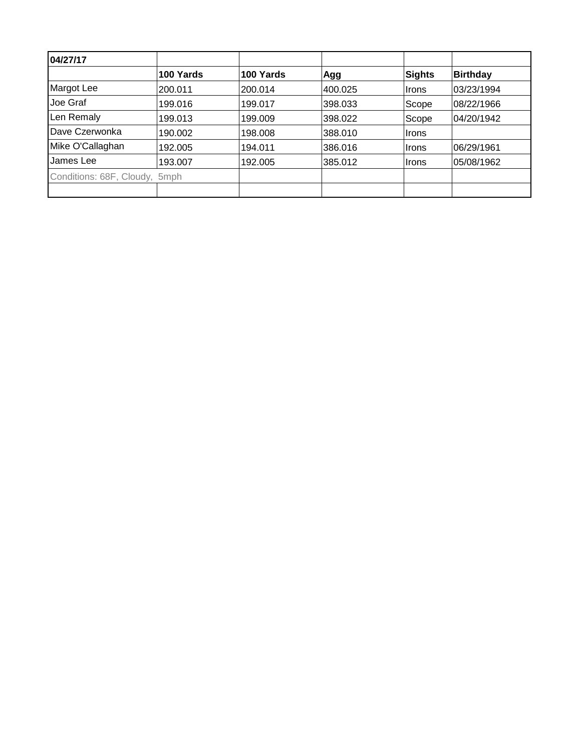| 04/27/17                      |           |           |         |               |                 |
|-------------------------------|-----------|-----------|---------|---------------|-----------------|
|                               | 100 Yards | 100 Yards | Agg     | <b>Sights</b> | <b>Birthday</b> |
| Margot Lee                    | 200.011   | 200.014   | 400.025 | Irons         | 03/23/1994      |
| Joe Graf                      | 199.016   | 199.017   | 398.033 | Scope         | 08/22/1966      |
| Len Remaly                    | 199.013   | 199.009   | 398.022 | Scope         | 04/20/1942      |
| Dave Czerwonka                | 190.002   | 198.008   | 388,010 | ∣Irons        |                 |
| Mike O'Callaghan              | 192.005   | 194.011   | 386.016 | Irons         | 06/29/1961      |
| James Lee                     | 193.007   | 192.005   | 385.012 | ∣Irons        | 05/08/1962      |
| Conditions: 68F, Cloudy, 5mph |           |           |         |               |                 |
|                               |           |           |         |               |                 |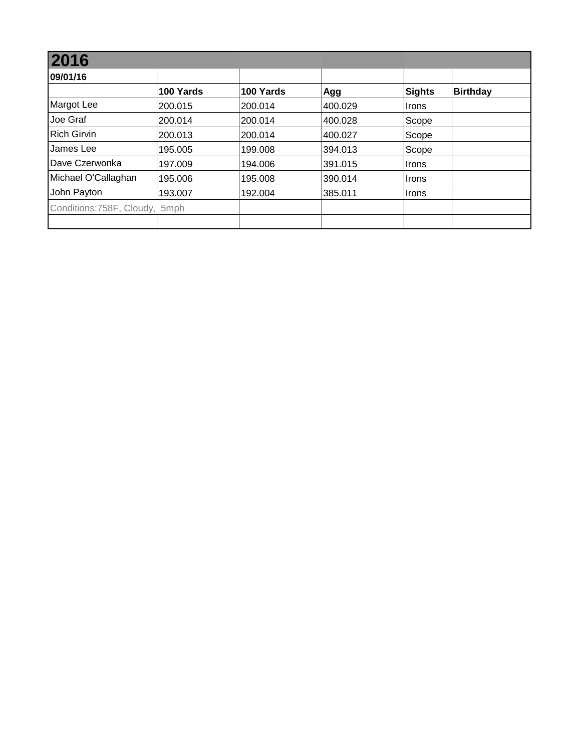| 2016                           |           |           |         |        |                 |
|--------------------------------|-----------|-----------|---------|--------|-----------------|
| 09/01/16                       |           |           |         |        |                 |
|                                | 100 Yards | 100 Yards | Agg     | Sights | <b>Birthday</b> |
| Margot Lee                     | 200.015   | 200.014   | 400.029 | Irons  |                 |
| Joe Graf                       | 200.014   | 200.014   | 400.028 | Scope  |                 |
| <b>Rich Girvin</b>             | 200.013   | 200.014   | 400.027 | Scope  |                 |
| James Lee                      | 195.005   | 199.008   | 394.013 | Scope  |                 |
| Dave Czerwonka                 | 197.009   | 194.006   | 391.015 | ∣Irons |                 |
| Michael O'Callaghan            | 195.006   | 195.008   | 390.014 | ∣Irons |                 |
| John Payton                    | 193.007   | 192.004   | 385.011 | ∣Irons |                 |
| Conditions: 758F, Cloudy, 5mph |           |           |         |        |                 |
|                                |           |           |         |        |                 |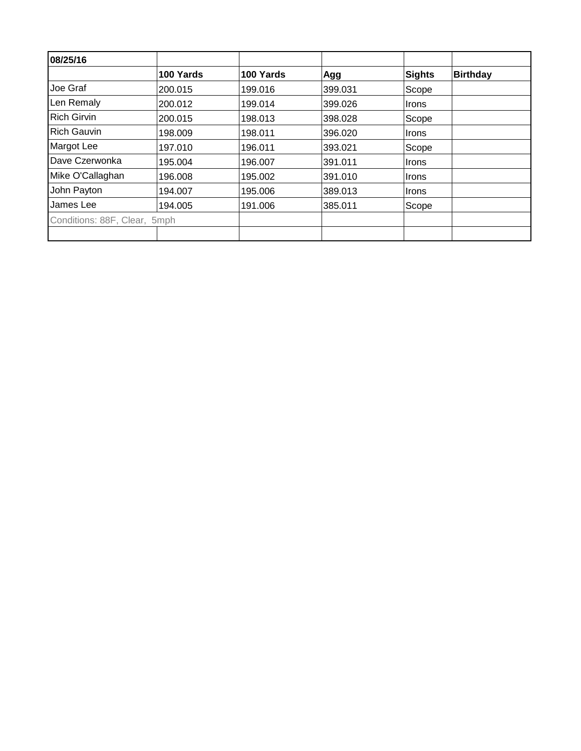| 08/25/16                     |           |           |         |               |                 |
|------------------------------|-----------|-----------|---------|---------------|-----------------|
|                              | 100 Yards | 100 Yards | Agg     | <b>Sights</b> | <b>Birthday</b> |
| Joe Graf                     | 200.015   | 199.016   | 399.031 | Scope         |                 |
| Len Remaly                   | 200.012   | 199.014   | 399.026 | Irons         |                 |
| <b>Rich Girvin</b>           | 200.015   | 198.013   | 398.028 | Scope         |                 |
| <b>Rich Gauvin</b>           | 198.009   | 198.011   | 396.020 | <b>Irons</b>  |                 |
| Margot Lee                   | 197.010   | 196.011   | 393.021 | Scope         |                 |
| Dave Czerwonka               | 195.004   | 196.007   | 391.011 | Irons         |                 |
| Mike O'Callaghan             | 196.008   | 195.002   | 391.010 | <b>Irons</b>  |                 |
| John Payton                  | 194.007   | 195.006   | 389.013 | <b>Irons</b>  |                 |
| James Lee                    | 194.005   | 191.006   | 385.011 | Scope         |                 |
| Conditions: 88F, Clear, 5mph |           |           |         |               |                 |
|                              |           |           |         |               |                 |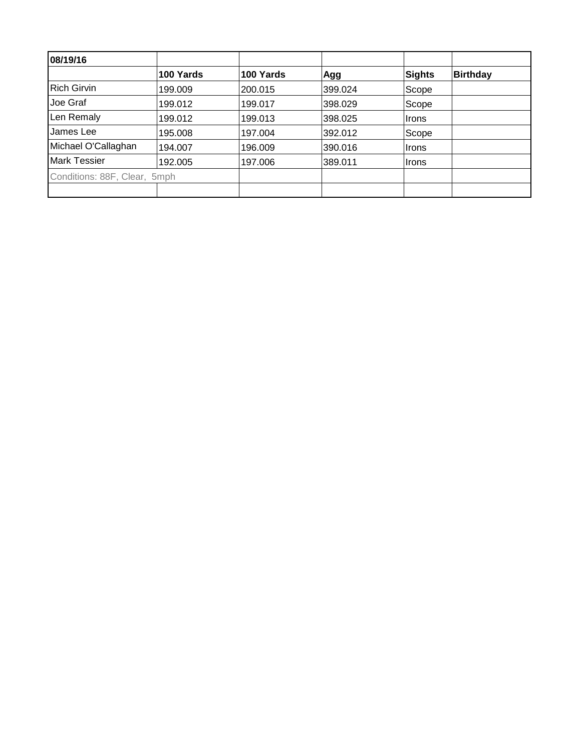| 08/19/16                     |           |           |         |               |                 |
|------------------------------|-----------|-----------|---------|---------------|-----------------|
|                              | 100 Yards | 100 Yards | Agg     | <b>Sights</b> | <b>Birthday</b> |
| <b>Rich Girvin</b>           | 199.009   | 200.015   | 399.024 | Scope         |                 |
| Joe Graf                     | 199.012   | 199.017   | 398.029 | Scope         |                 |
| Len Remaly                   | 199.012   | 199.013   | 398.025 | <b>Irons</b>  |                 |
| James Lee                    | 195.008   | 197.004   | 392.012 | Scope         |                 |
| Michael O'Callaghan          | 194.007   | 196.009   | 390.016 | Irons         |                 |
| <b>Mark Tessier</b>          | 192.005   | 197.006   | 389.011 | <b>Irons</b>  |                 |
| Conditions: 88F, Clear, 5mph |           |           |         |               |                 |
|                              |           |           |         |               |                 |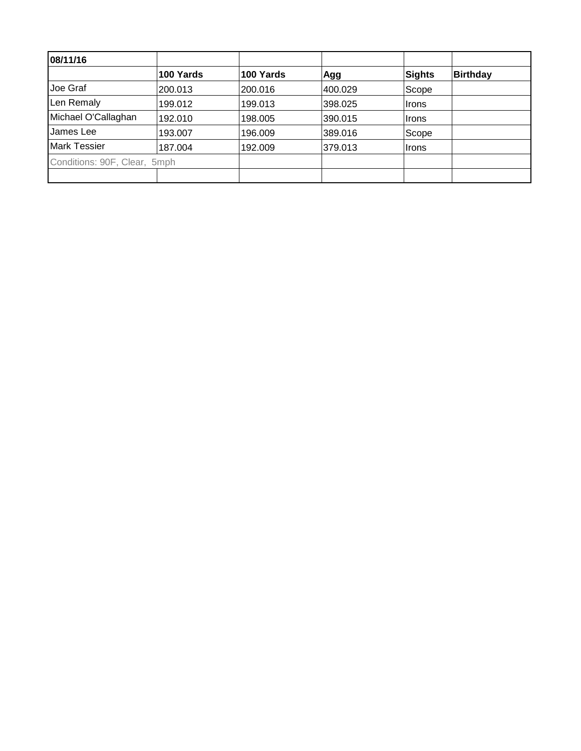| 08/11/16                     |           |           |         |        |                 |
|------------------------------|-----------|-----------|---------|--------|-----------------|
|                              | 100 Yards | 100 Yards | Agg     | Sights | <b>Birthday</b> |
| Joe Graf                     | 200.013   | 200.016   | 400.029 | Scope  |                 |
| Len Remaly                   | 199.012   | 199.013   | 398.025 | Irons  |                 |
| Michael O'Callaghan          | 192.010   | 198.005   | 390.015 | Irons  |                 |
| James Lee                    | 193.007   | 196.009   | 389.016 | Scope  |                 |
| <b>Mark Tessier</b>          | 187.004   | 192.009   | 379.013 | ∣Irons |                 |
| Conditions: 90F, Clear, 5mph |           |           |         |        |                 |
|                              |           |           |         |        |                 |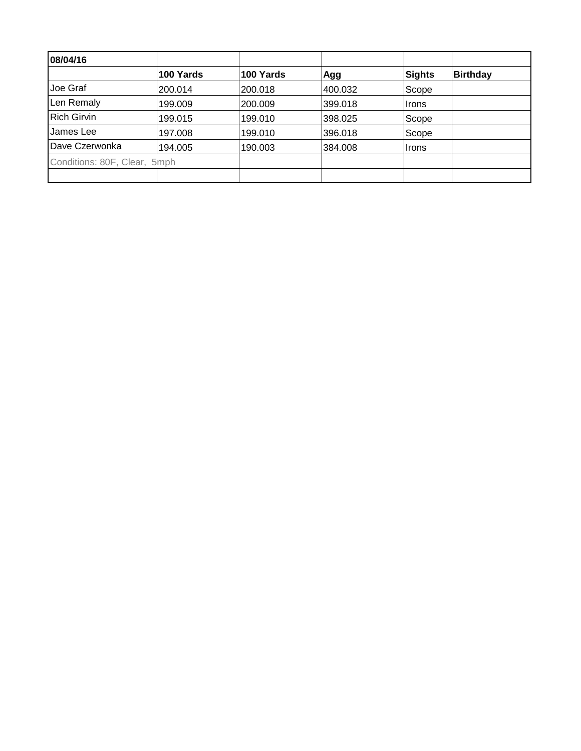| 08/04/16                     |           |           |         |        |                 |
|------------------------------|-----------|-----------|---------|--------|-----------------|
|                              | 100 Yards | 100 Yards | Agg     | Sights | <b>Birthday</b> |
| Joe Graf                     | 200.014   | 200.018   | 400.032 | Scope  |                 |
| Len Remaly                   | 199.009   | 200,009   | 399.018 | Irons  |                 |
| <b>Rich Girvin</b>           | 199.015   | 199.010   | 398.025 | Scope  |                 |
| James Lee                    | 197.008   | 199.010   | 396.018 | Scope  |                 |
| Dave Czerwonka               | 194.005   | 190.003   | 384.008 | ∣Irons |                 |
| Conditions: 80F, Clear, 5mph |           |           |         |        |                 |
|                              |           |           |         |        |                 |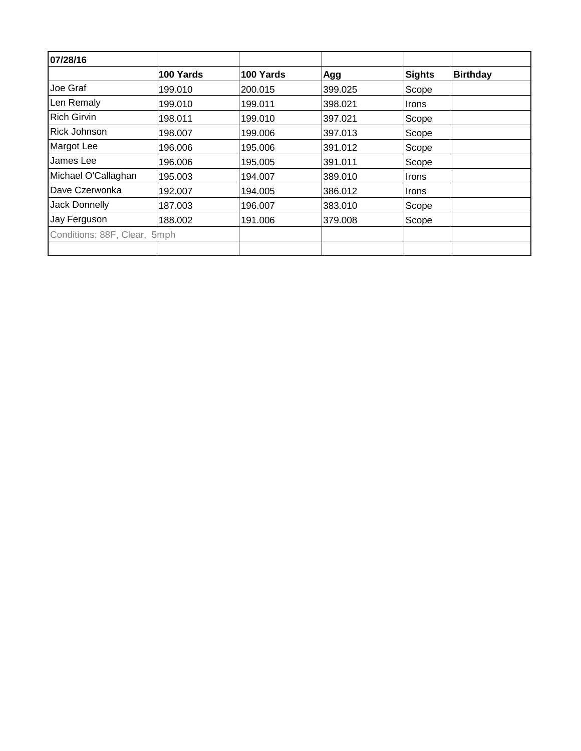| 07/28/16                     |           |           |         |               |                 |
|------------------------------|-----------|-----------|---------|---------------|-----------------|
|                              | 100 Yards | 100 Yards | Agg     | <b>Sights</b> | <b>Birthday</b> |
| Joe Graf                     | 199.010   | 200.015   | 399.025 | Scope         |                 |
| Len Remaly                   | 199.010   | 199.011   | 398.021 | <b>Irons</b>  |                 |
| <b>Rich Girvin</b>           | 198.011   | 199.010   | 397.021 | Scope         |                 |
| Rick Johnson                 | 198.007   | 199.006   | 397.013 | Scope         |                 |
| Margot Lee                   | 196.006   | 195.006   | 391.012 | Scope         |                 |
| James Lee                    | 196.006   | 195.005   | 391.011 | Scope         |                 |
| Michael O'Callaghan          | 195.003   | 194.007   | 389.010 | <b>Irons</b>  |                 |
| Dave Czerwonka               | 192.007   | 194.005   | 386.012 | <b>Irons</b>  |                 |
| Jack Donnelly                | 187.003   | 196.007   | 383.010 | Scope         |                 |
| Jay Ferguson                 | 188.002   | 191.006   | 379.008 | Scope         |                 |
| Conditions: 88F, Clear, 5mph |           |           |         |               |                 |
|                              |           |           |         |               |                 |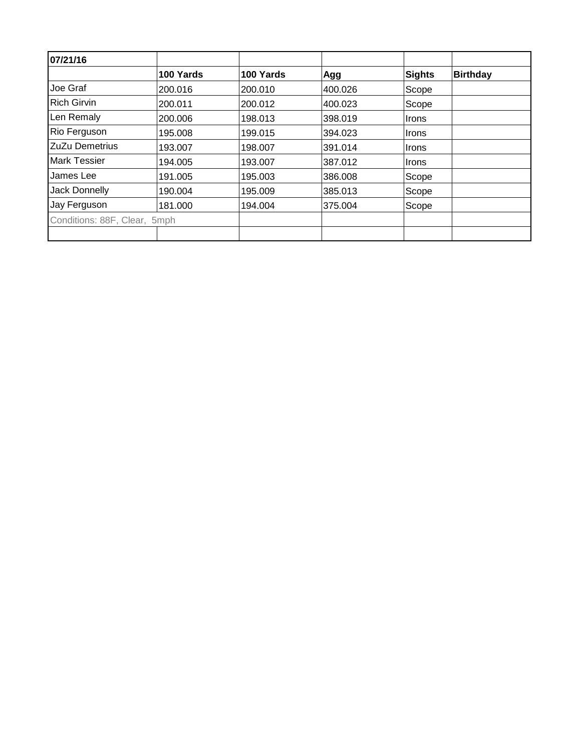| 07/21/16                     |           |           |         |               |                 |
|------------------------------|-----------|-----------|---------|---------------|-----------------|
|                              | 100 Yards | 100 Yards | Agg     | <b>Sights</b> | <b>Birthday</b> |
| Joe Graf                     | 200.016   | 200.010   | 400.026 | Scope         |                 |
| <b>Rich Girvin</b>           | 200.011   | 200.012   | 400.023 | Scope         |                 |
| Len Remaly                   | 200.006   | 198.013   | 398.019 | <b>Irons</b>  |                 |
| Rio Ferguson                 | 195.008   | 199.015   | 394.023 | <b>Irons</b>  |                 |
| ZuZu Demetrius               | 193.007   | 198.007   | 391.014 | <b>Irons</b>  |                 |
| <b>Mark Tessier</b>          | 194.005   | 193.007   | 387.012 | Irons         |                 |
| James Lee                    | 191.005   | 195.003   | 386.008 | Scope         |                 |
| <b>Jack Donnelly</b>         | 190.004   | 195.009   | 385.013 | Scope         |                 |
| Jay Ferguson                 | 181.000   | 194.004   | 375.004 | Scope         |                 |
| Conditions: 88F, Clear, 5mph |           |           |         |               |                 |
|                              |           |           |         |               |                 |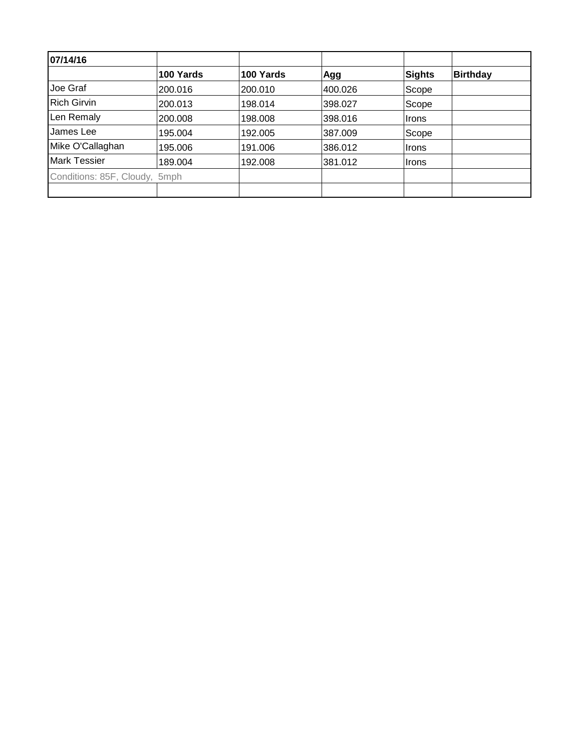| 07/14/16                      |           |           |         |               |                 |
|-------------------------------|-----------|-----------|---------|---------------|-----------------|
|                               | 100 Yards | 100 Yards | Agg     | <b>Sights</b> | <b>Birthday</b> |
| Joe Graf                      | 200.016   | 200.010   | 400.026 | Scope         |                 |
| <b>Rich Girvin</b>            | 200.013   | 198.014   | 398.027 | Scope         |                 |
| Len Remaly                    | 200.008   | 198.008   | 398.016 | Irons         |                 |
| James Lee                     | 195.004   | 192.005   | 387.009 | Scope         |                 |
| Mike O'Callaghan              | 195.006   | 191.006   | 386.012 | <b>Irons</b>  |                 |
| <b>Mark Tessier</b>           | 189.004   | 192.008   | 381.012 | <b>Irons</b>  |                 |
| Conditions: 85F, Cloudy, 5mph |           |           |         |               |                 |
|                               |           |           |         |               |                 |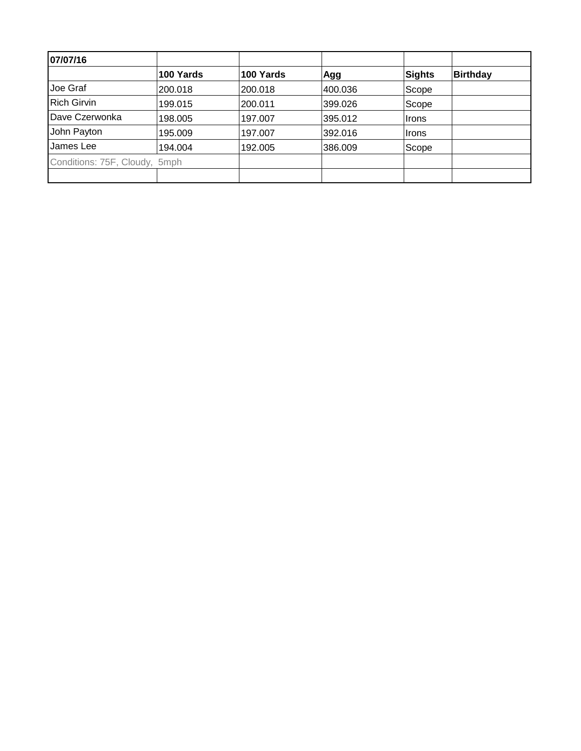| 07/07/16                      |           |           |         |        |                 |
|-------------------------------|-----------|-----------|---------|--------|-----------------|
|                               | 100 Yards | 100 Yards | Agg     | Sights | <b>Birthday</b> |
| Joe Graf                      | 200.018   | 200.018   | 400.036 | Scope  |                 |
| <b>Rich Girvin</b>            | 199.015   | 200.011   | 399.026 | Scope  |                 |
| Dave Czerwonka                | 198.005   | 197.007   | 395.012 | Irons  |                 |
| John Payton                   | 195.009   | 197.007   | 392.016 | ∣Irons |                 |
| James Lee                     | 194.004   | 192.005   | 386.009 | Scope  |                 |
| Conditions: 75F, Cloudy, 5mph |           |           |         |        |                 |
|                               |           |           |         |        |                 |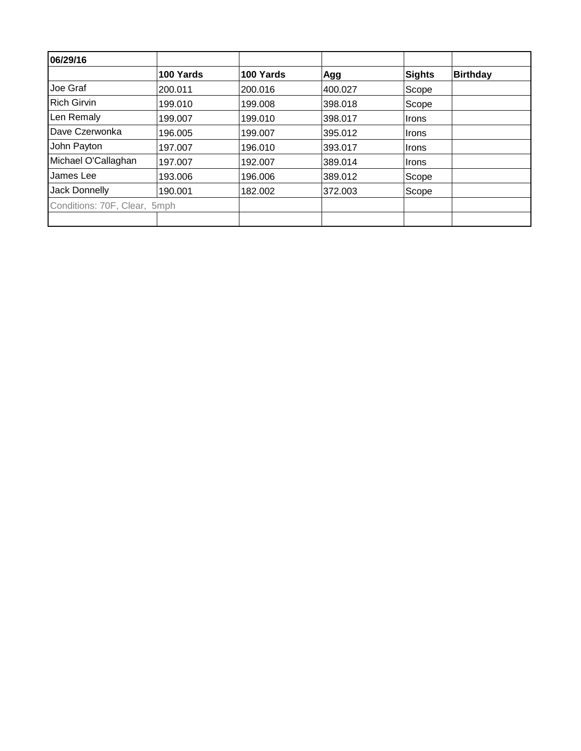| 06/29/16                     |           |           |         |               |                 |
|------------------------------|-----------|-----------|---------|---------------|-----------------|
|                              | 100 Yards | 100 Yards | Agg     | <b>Sights</b> | <b>Birthday</b> |
| Joe Graf                     | 200.011   | 200.016   | 400.027 | Scope         |                 |
| <b>Rich Girvin</b>           | 199.010   | 199.008   | 398.018 | Scope         |                 |
| Len Remaly                   | 199.007   | 199.010   | 398.017 | Irons         |                 |
| Dave Czerwonka               | 196.005   | 199.007   | 395.012 | Irons         |                 |
| John Payton                  | 197.007   | 196.010   | 393.017 | Irons         |                 |
| Michael O'Callaghan          | 197.007   | 192.007   | 389.014 | Irons         |                 |
| James Lee                    | 193.006   | 196.006   | 389.012 | Scope         |                 |
| <b>Jack Donnelly</b>         | 190.001   | 182.002   | 372.003 | Scope         |                 |
| Conditions: 70F, Clear, 5mph |           |           |         |               |                 |
|                              |           |           |         |               |                 |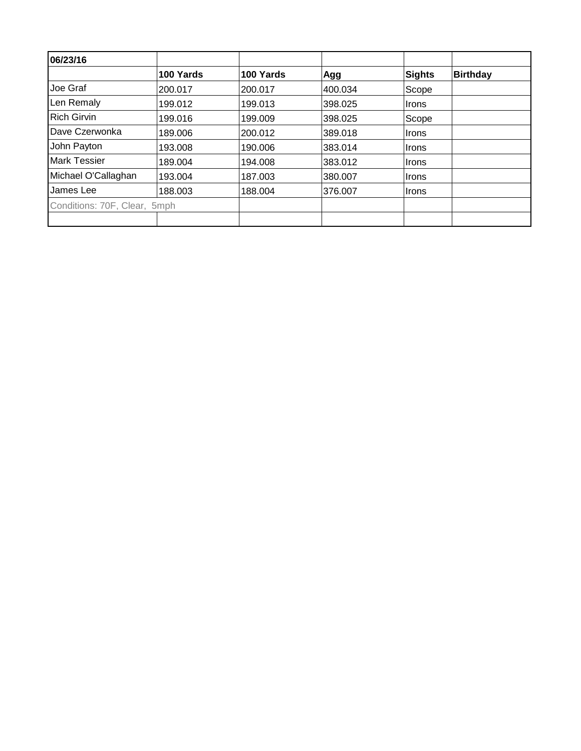| 06/23/16                     |           |           |         |               |                 |
|------------------------------|-----------|-----------|---------|---------------|-----------------|
|                              | 100 Yards | 100 Yards | Agg     | <b>Sights</b> | <b>Birthday</b> |
| Joe Graf                     | 200.017   | 200.017   | 400.034 | Scope         |                 |
| Len Remaly                   | 199.012   | 199.013   | 398.025 | Irons         |                 |
| <b>Rich Girvin</b>           | 199.016   | 199.009   | 398.025 | Scope         |                 |
| Dave Czerwonka               | 189.006   | 200.012   | 389.018 | Irons         |                 |
| John Payton                  | 193.008   | 190.006   | 383.014 | Irons         |                 |
| <b>Mark Tessier</b>          | 189.004   | 194.008   | 383.012 | Irons         |                 |
| Michael O'Callaghan          | 193.004   | 187.003   | 380.007 | Irons         |                 |
| James Lee                    | 188.003   | 188.004   | 376.007 | ∣Irons        |                 |
| Conditions: 70F, Clear, 5mph |           |           |         |               |                 |
|                              |           |           |         |               |                 |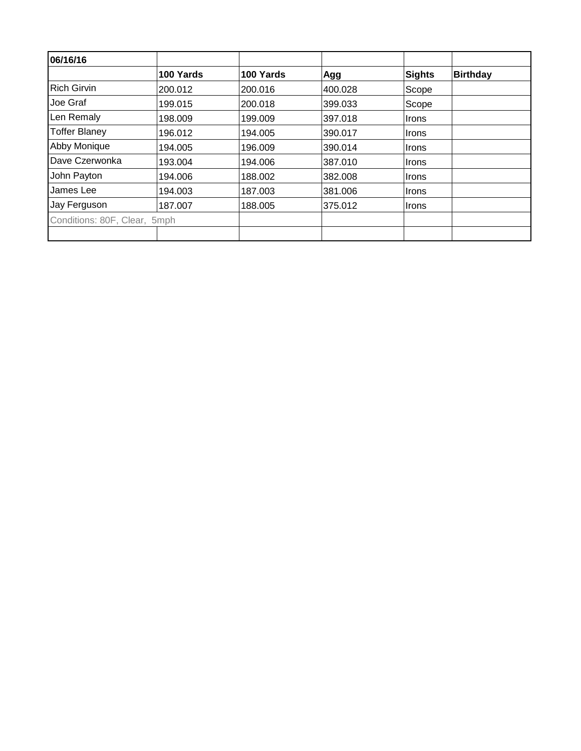| 06/16/16                     |           |           |         |               |                 |
|------------------------------|-----------|-----------|---------|---------------|-----------------|
|                              | 100 Yards | 100 Yards | Agg     | <b>Sights</b> | <b>Birthday</b> |
| <b>Rich Girvin</b>           | 200.012   | 200.016   | 400.028 | Scope         |                 |
| Joe Graf                     | 199.015   | 200.018   | 399.033 | Scope         |                 |
| Len Remaly                   | 198.009   | 199.009   | 397.018 | <b>Irons</b>  |                 |
| <b>Toffer Blaney</b>         | 196.012   | 194.005   | 390.017 | <b>Irons</b>  |                 |
| Abby Monique                 | 194.005   | 196.009   | 390.014 | Irons         |                 |
| Dave Czerwonka               | 193.004   | 194.006   | 387.010 | ∣Irons        |                 |
| John Payton                  | 194.006   | 188.002   | 382.008 | <b>Irons</b>  |                 |
| James Lee                    | 194.003   | 187.003   | 381.006 | <b>Irons</b>  |                 |
| Jay Ferguson                 | 187.007   | 188.005   | 375.012 | <b>Irons</b>  |                 |
| Conditions: 80F, Clear, 5mph |           |           |         |               |                 |
|                              |           |           |         |               |                 |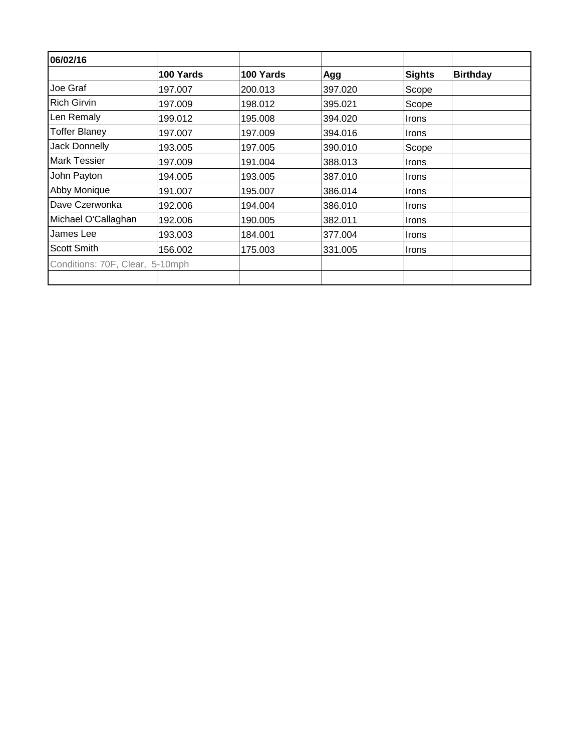| 06/02/16                        |           |           |         |               |                 |
|---------------------------------|-----------|-----------|---------|---------------|-----------------|
|                                 | 100 Yards | 100 Yards | Agg     | <b>Sights</b> | <b>Birthday</b> |
| Joe Graf                        | 197.007   | 200.013   | 397.020 | Scope         |                 |
| <b>Rich Girvin</b>              | 197.009   | 198.012   | 395.021 | Scope         |                 |
| Len Remaly                      | 199.012   | 195.008   | 394.020 | <b>Irons</b>  |                 |
| <b>Toffer Blaney</b>            | 197.007   | 197.009   | 394.016 | <b>Irons</b>  |                 |
| <b>Jack Donnelly</b>            | 193.005   | 197.005   | 390.010 | Scope         |                 |
| <b>Mark Tessier</b>             | 197.009   | 191.004   | 388.013 | Irons         |                 |
| John Payton                     | 194.005   | 193.005   | 387.010 | <b>Irons</b>  |                 |
| Abby Monique                    | 191.007   | 195.007   | 386.014 | <b>Irons</b>  |                 |
| Dave Czerwonka                  | 192.006   | 194.004   | 386.010 | <b>Irons</b>  |                 |
| Michael O'Callaghan             | 192.006   | 190.005   | 382.011 | Irons         |                 |
| James Lee                       | 193.003   | 184.001   | 377.004 | Irons         |                 |
| <b>Scott Smith</b>              | 156.002   | 175.003   | 331.005 | Irons         |                 |
| Conditions: 70F, Clear, 5-10mph |           |           |         |               |                 |
|                                 |           |           |         |               |                 |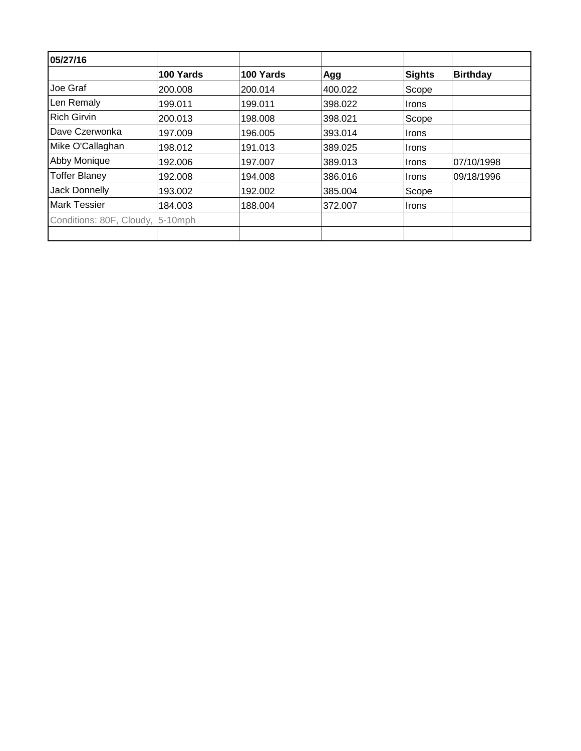| 05/27/16                         |           |           |         |              |                 |
|----------------------------------|-----------|-----------|---------|--------------|-----------------|
|                                  | 100 Yards | 100 Yards | Agg     | Sights       | <b>Birthday</b> |
| Joe Graf                         | 200.008   | 200.014   | 400.022 | Scope        |                 |
| Len Remaly                       | 199.011   | 199.011   | 398.022 | <i>Irons</i> |                 |
| <b>Rich Girvin</b>               | 200.013   | 198,008   | 398.021 | Scope        |                 |
| Dave Czerwonka                   | 197.009   | 196.005   | 393.014 | Irons        |                 |
| Mike O'Callaghan                 | 198.012   | 191.013   | 389.025 | Irons        |                 |
| Abby Monique                     | 192.006   | 197.007   | 389.013 | Irons        | 07/10/1998      |
| <b>Toffer Blaney</b>             | 192.008   | 194.008   | 386.016 | Irons        | 09/18/1996      |
| Jack Donnelly                    | 193.002   | 192.002   | 385.004 | Scope        |                 |
| <b>Mark Tessier</b>              | 184.003   | 188.004   | 372.007 | <b>Irons</b> |                 |
| Conditions: 80F, Cloudy, 5-10mph |           |           |         |              |                 |
|                                  |           |           |         |              |                 |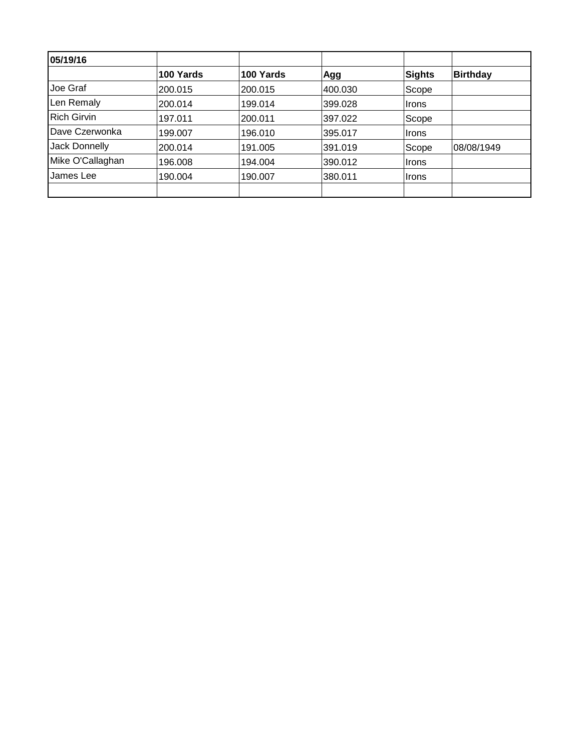| 05/19/16           |           |           |         |               |                 |
|--------------------|-----------|-----------|---------|---------------|-----------------|
|                    | 100 Yards | 100 Yards | Agg     | <b>Sights</b> | <b>Birthday</b> |
| Joe Graf           | 200.015   | 200.015   | 400.030 | Scope         |                 |
| Len Remaly         | 200.014   | 199.014   | 399.028 | ∣Irons        |                 |
| <b>Rich Girvin</b> | 197.011   | 200.011   | 397.022 | Scope         |                 |
| Dave Czerwonka     | 199.007   | 196.010   | 395.017 | ∣Irons        |                 |
| Jack Donnelly      | 200.014   | 191.005   | 391.019 | Scope         | 08/08/1949      |
| Mike O'Callaghan   | 196.008   | 194.004   | 390.012 | ∣Irons        |                 |
| James Lee          | 190.004   | 190.007   | 380.011 | ∣Irons        |                 |
|                    |           |           |         |               |                 |